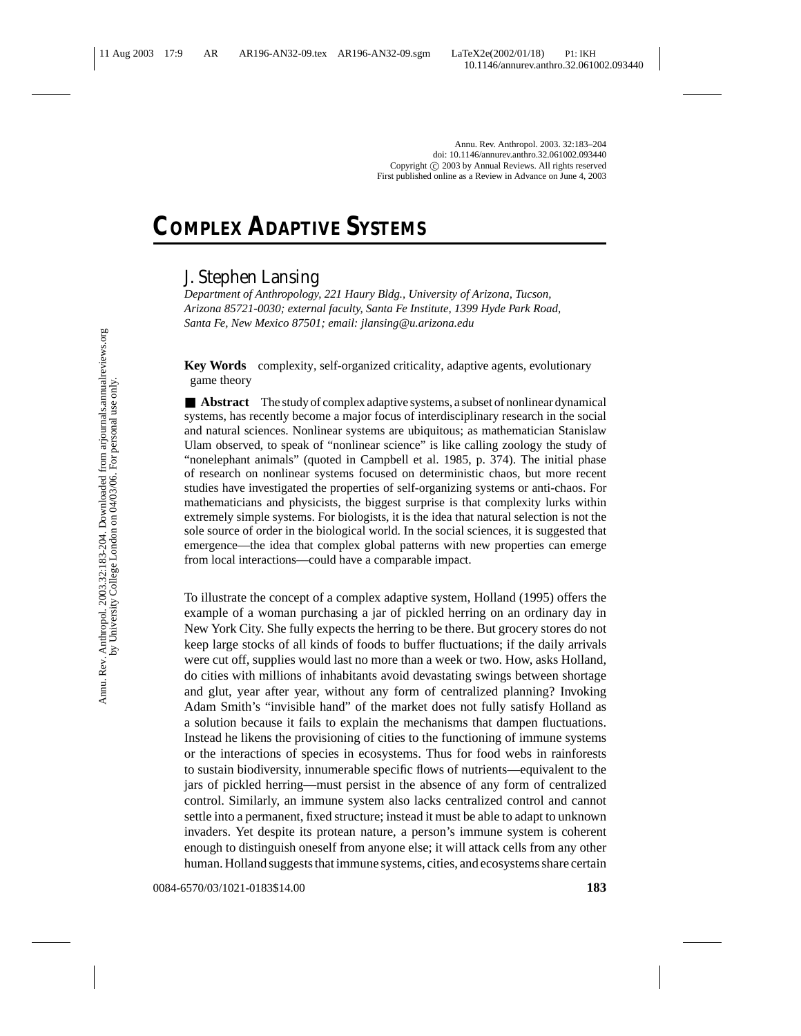## **COMPLEX ADAPTIVE SYSTEMS**

## J. Stephen Lansing

*Department of Anthropology, 221 Haury Bldg., University of Arizona, Tucson, Arizona 85721-0030; external faculty, Santa Fe Institute, 1399 Hyde Park Road, Santa Fe, New Mexico 87501; email: jlansing@u.arizona.edu*

**Key Words** complexity, self-organized criticality, adaptive agents, evolutionary game theory

■ **Abstract** The study of complex adaptive systems, a subset of nonlinear dynamical systems, has recently become a major focus of interdisciplinary research in the social and natural sciences. Nonlinear systems are ubiquitous; as mathematician Stanislaw Ulam observed, to speak of "nonlinear science" is like calling zoology the study of "nonelephant animals" (quoted in Campbell et al. 1985, p. 374). The initial phase of research on nonlinear systems focused on deterministic chaos, but more recent studies have investigated the properties of self-organizing systems or anti-chaos. For mathematicians and physicists, the biggest surprise is that complexity lurks within extremely simple systems. For biologists, it is the idea that natural selection is not the sole source of order in the biological world. In the social sciences, it is suggested that emergence—the idea that complex global patterns with new properties can emerge from local interactions—could have a comparable impact.

To illustrate the concept of a complex adaptive system, Holland (1995) offers the example of a woman purchasing a jar of pickled herring on an ordinary day in New York City. She fully expects the herring to be there. But grocery stores do not keep large stocks of all kinds of foods to buffer fluctuations; if the daily arrivals were cut off, supplies would last no more than a week or two. How, asks Holland, do cities with millions of inhabitants avoid devastating swings between shortage and glut, year after year, without any form of centralized planning? Invoking Adam Smith's "invisible hand" of the market does not fully satisfy Holland as a solution because it fails to explain the mechanisms that dampen fluctuations. Instead he likens the provisioning of cities to the functioning of immune systems or the interactions of species in ecosystems. Thus for food webs in rainforests to sustain biodiversity, innumerable specific flows of nutrients—equivalent to the jars of pickled herring—must persist in the absence of any form of centralized control. Similarly, an immune system also lacks centralized control and cannot settle into a permanent, fixed structure; instead it must be able to adapt to unknown invaders. Yet despite its protean nature, a person's immune system is coherent enough to distinguish oneself from anyone else; it will attack cells from any other human. Holland suggests that immune systems, cities, and ecosystems share certain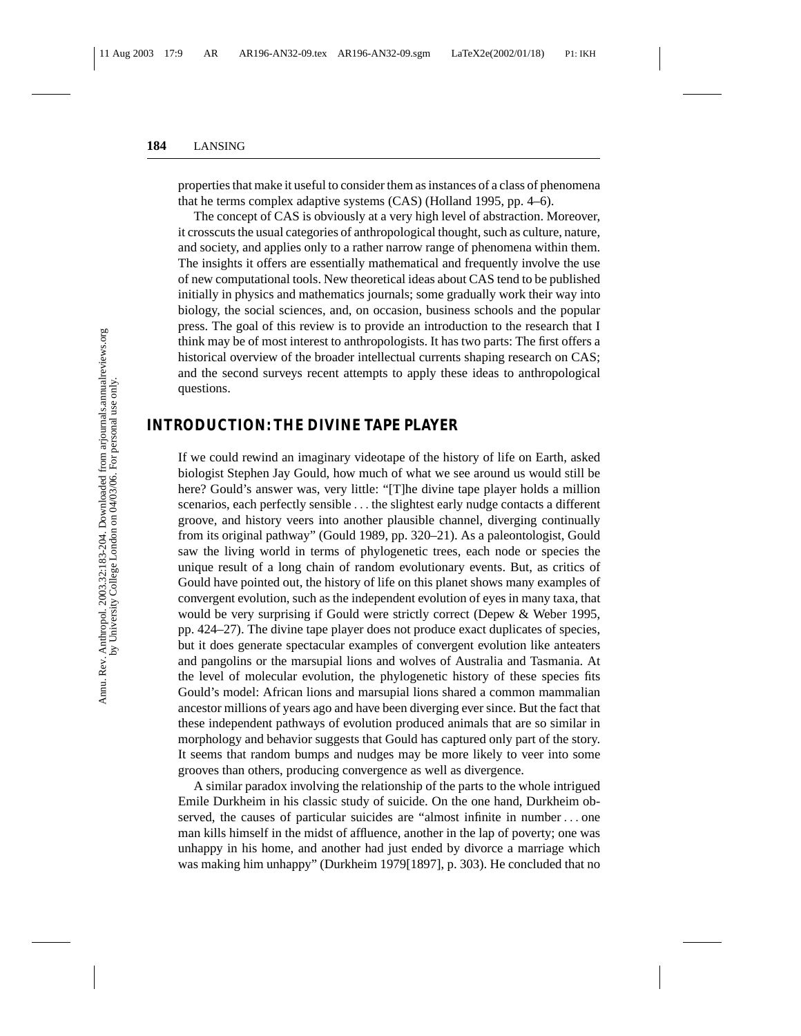properties that make it useful to consider them as instances of a class of phenomena that he terms complex adaptive systems (CAS) (Holland 1995, pp. 4–6).

The concept of CAS is obviously at a very high level of abstraction. Moreover, it crosscuts the usual categories of anthropological thought, such as culture, nature, and society, and applies only to a rather narrow range of phenomena within them. The insights it offers are essentially mathematical and frequently involve the use of new computational tools. New theoretical ideas about CAS tend to be published initially in physics and mathematics journals; some gradually work their way into biology, the social sciences, and, on occasion, business schools and the popular press. The goal of this review is to provide an introduction to the research that I think may be of most interest to anthropologists. It has two parts: The first offers a historical overview of the broader intellectual currents shaping research on CAS; and the second surveys recent attempts to apply these ideas to anthropological questions.

#### **INTRODUCTION: THE DIVINE TAPE PLAYER**

If we could rewind an imaginary videotape of the history of life on Earth, asked biologist Stephen Jay Gould, how much of what we see around us would still be here? Gould's answer was, very little: "[T]he divine tape player holds a million scenarios, each perfectly sensible ... the slightest early nudge contacts a different groove, and history veers into another plausible channel, diverging continually from its original pathway" (Gould 1989, pp. 320–21). As a paleontologist, Gould saw the living world in terms of phylogenetic trees, each node or species the unique result of a long chain of random evolutionary events. But, as critics of Gould have pointed out, the history of life on this planet shows many examples of convergent evolution, such as the independent evolution of eyes in many taxa, that would be very surprising if Gould were strictly correct (Depew & Weber 1995, pp. 424–27). The divine tape player does not produce exact duplicates of species, but it does generate spectacular examples of convergent evolution like anteaters and pangolins or the marsupial lions and wolves of Australia and Tasmania. At the level of molecular evolution, the phylogenetic history of these species fits Gould's model: African lions and marsupial lions shared a common mammalian ancestor millions of years ago and have been diverging ever since. But the fact that these independent pathways of evolution produced animals that are so similar in morphology and behavior suggests that Gould has captured only part of the story. It seems that random bumps and nudges may be more likely to veer into some grooves than others, producing convergence as well as divergence.

A similar paradox involving the relationship of the parts to the whole intrigued Emile Durkheim in his classic study of suicide. On the one hand, Durkheim observed, the causes of particular suicides are "almost infinite in number ... one man kills himself in the midst of affluence, another in the lap of poverty; one was unhappy in his home, and another had just ended by divorce a marriage which was making him unhappy" (Durkheim 1979[1897], p. 303). He concluded that no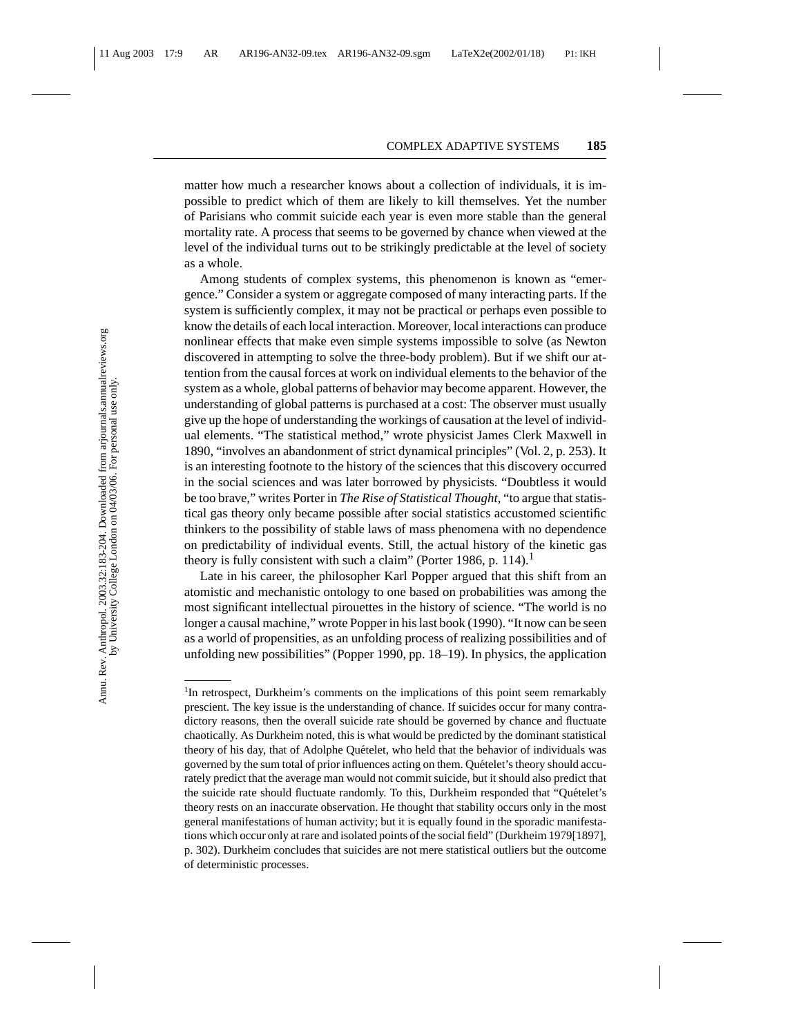matter how much a researcher knows about a collection of individuals, it is impossible to predict which of them are likely to kill themselves. Yet the number of Parisians who commit suicide each year is even more stable than the general mortality rate. A process that seems to be governed by chance when viewed at the level of the individual turns out to be strikingly predictable at the level of society as a whole.

Among students of complex systems, this phenomenon is known as "emergence." Consider a system or aggregate composed of many interacting parts. If the system is sufficiently complex, it may not be practical or perhaps even possible to know the details of each local interaction. Moreover, local interactions can produce nonlinear effects that make even simple systems impossible to solve (as Newton discovered in attempting to solve the three-body problem). But if we shift our attention from the causal forces at work on individual elements to the behavior of the system as a whole, global patterns of behavior may become apparent. However, the understanding of global patterns is purchased at a cost: The observer must usually give up the hope of understanding the workings of causation at the level of individual elements. "The statistical method," wrote physicist James Clerk Maxwell in 1890, "involves an abandonment of strict dynamical principles" (Vol. 2, p. 253). It is an interesting footnote to the history of the sciences that this discovery occurred in the social sciences and was later borrowed by physicists. "Doubtless it would be too brave," writes Porter in *The Rise of Statistical Thought*, "to argue that statistical gas theory only became possible after social statistics accustomed scientific thinkers to the possibility of stable laws of mass phenomena with no dependence on predictability of individual events. Still, the actual history of the kinetic gas theory is fully consistent with such a claim" (Porter 1986, p. 114).<sup>1</sup>

Late in his career, the philosopher Karl Popper argued that this shift from an atomistic and mechanistic ontology to one based on probabilities was among the most significant intellectual pirouettes in the history of science. "The world is no longer a causal machine," wrote Popper in his last book (1990). "It now can be seen as a world of propensities, as an unfolding process of realizing possibilities and of unfolding new possibilities" (Popper 1990, pp. 18–19). In physics, the application

<sup>&</sup>lt;sup>1</sup>In retrospect, Durkheim's comments on the implications of this point seem remarkably prescient. The key issue is the understanding of chance. If suicides occur for many contradictory reasons, then the overall suicide rate should be governed by chance and fluctuate chaotically. As Durkheim noted, this is what would be predicted by the dominant statistical theory of his day, that of Adolphe Quételet, who held that the behavior of individuals was governed by the sum total of prior influences acting on them. Quételet's theory should accurately predict that the average man would not commit suicide, but it should also predict that the suicide rate should fluctuate randomly. To this, Durkheim responded that "Quételet's theory rests on an inaccurate observation. He thought that stability occurs only in the most general manifestations of human activity; but it is equally found in the sporadic manifestations which occur only at rare and isolated points of the social field" (Durkheim 1979[1897], p. 302). Durkheim concludes that suicides are not mere statistical outliers but the outcome of deterministic processes.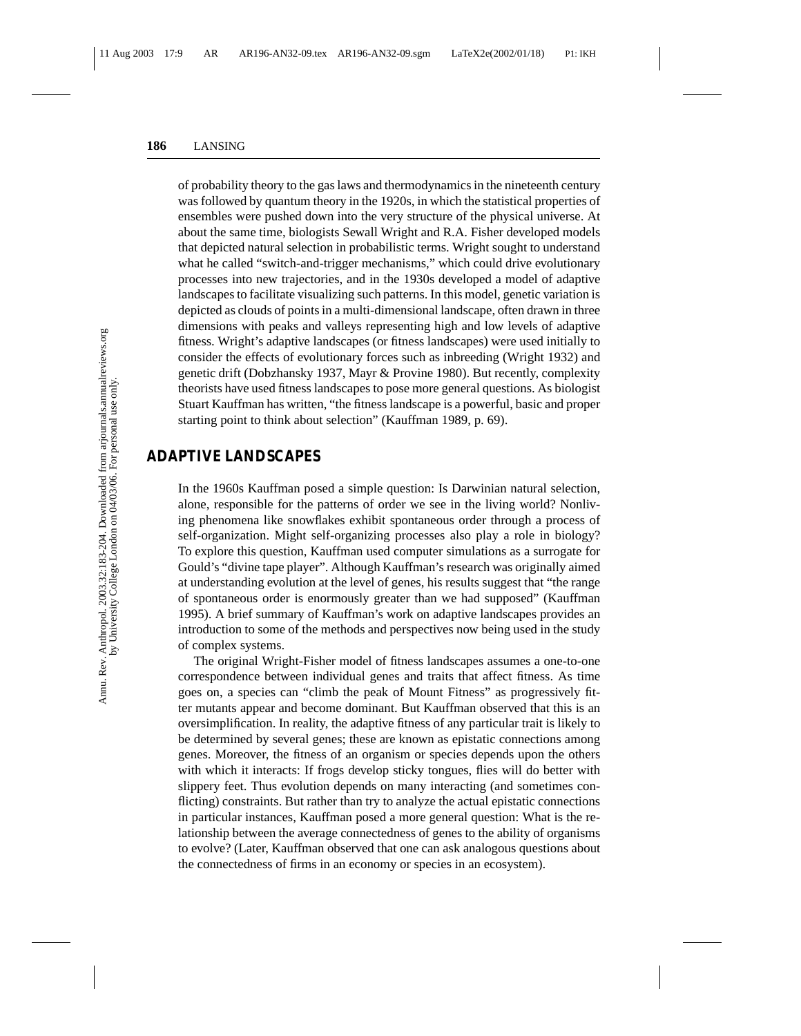of probability theory to the gas laws and thermodynamics in the nineteenth century was followed by quantum theory in the 1920s, in which the statistical properties of ensembles were pushed down into the very structure of the physical universe. At about the same time, biologists Sewall Wright and R.A. Fisher developed models that depicted natural selection in probabilistic terms. Wright sought to understand what he called "switch-and-trigger mechanisms," which could drive evolutionary processes into new trajectories, and in the 1930s developed a model of adaptive landscapes to facilitate visualizing such patterns. In this model, genetic variation is depicted as clouds of points in a multi-dimensional landscape, often drawn in three dimensions with peaks and valleys representing high and low levels of adaptive fitness. Wright's adaptive landscapes (or fitness landscapes) were used initially to consider the effects of evolutionary forces such as inbreeding (Wright 1932) and genetic drift (Dobzhansky 1937, Mayr & Provine 1980). But recently, complexity theorists have used fitness landscapes to pose more general questions. As biologist Stuart Kauffman has written, "the fitness landscape is a powerful, basic and proper starting point to think about selection" (Kauffman 1989, p. 69).

#### **ADAPTIVE LANDSCAPES**

In the 1960s Kauffman posed a simple question: Is Darwinian natural selection, alone, responsible for the patterns of order we see in the living world? Nonliving phenomena like snowflakes exhibit spontaneous order through a process of self-organization. Might self-organizing processes also play a role in biology? To explore this question, Kauffman used computer simulations as a surrogate for Gould's "divine tape player". Although Kauffman's research was originally aimed at understanding evolution at the level of genes, his results suggest that "the range of spontaneous order is enormously greater than we had supposed" (Kauffman 1995). A brief summary of Kauffman's work on adaptive landscapes provides an introduction to some of the methods and perspectives now being used in the study of complex systems.

The original Wright-Fisher model of fitness landscapes assumes a one-to-one correspondence between individual genes and traits that affect fitness. As time goes on, a species can "climb the peak of Mount Fitness" as progressively fitter mutants appear and become dominant. But Kauffman observed that this is an oversimplification. In reality, the adaptive fitness of any particular trait is likely to be determined by several genes; these are known as epistatic connections among genes. Moreover, the fitness of an organism or species depends upon the others with which it interacts: If frogs develop sticky tongues, flies will do better with slippery feet. Thus evolution depends on many interacting (and sometimes conflicting) constraints. But rather than try to analyze the actual epistatic connections in particular instances, Kauffman posed a more general question: What is the relationship between the average connectedness of genes to the ability of organisms to evolve? (Later, Kauffman observed that one can ask analogous questions about the connectedness of firms in an economy or species in an ecosystem).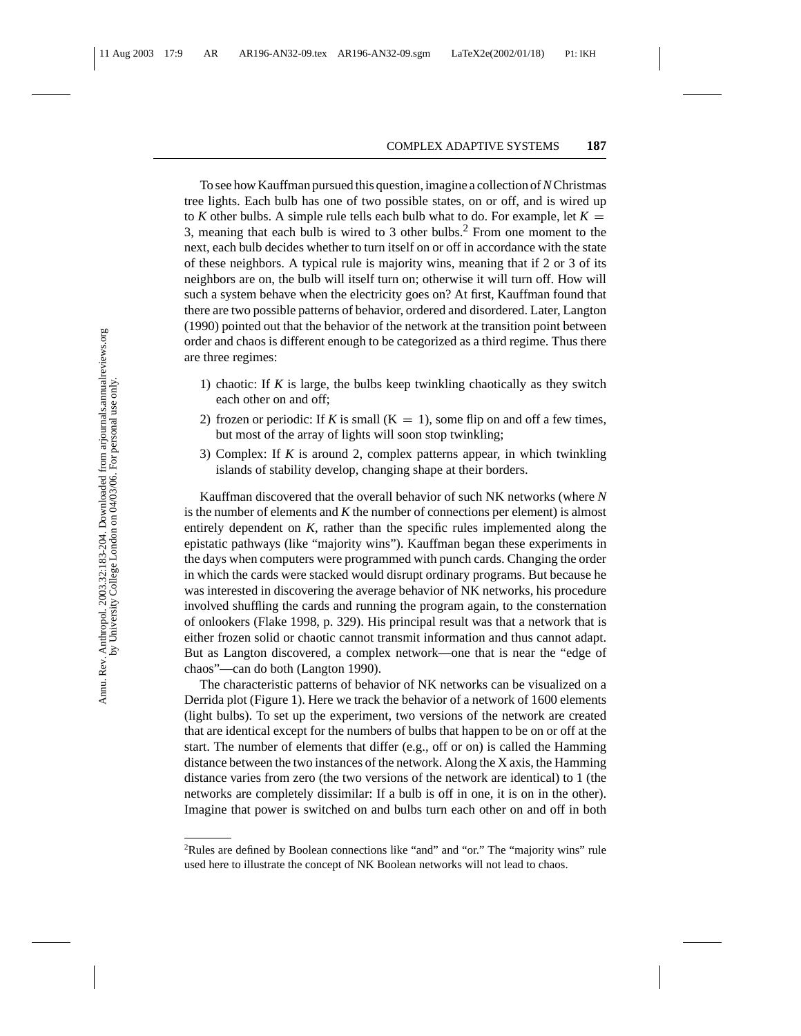To see how Kauffman pursued this question, imagine a collection of*N*Christmas tree lights. Each bulb has one of two possible states, on or off, and is wired up to *K* other bulbs. A simple rule tells each bulb what to do. For example, let  $K =$ 3, meaning that each bulb is wired to 3 other bulbs.2 From one moment to the next, each bulb decides whether to turn itself on or off in accordance with the state of these neighbors. A typical rule is majority wins, meaning that if 2 or 3 of its neighbors are on, the bulb will itself turn on; otherwise it will turn off. How will such a system behave when the electricity goes on? At first, Kauffman found that there are two possible patterns of behavior, ordered and disordered. Later, Langton (1990) pointed out that the behavior of the network at the transition point between order and chaos is different enough to be categorized as a third regime. Thus there are three regimes:

- 1) chaotic: If *K* is large, the bulbs keep twinkling chaotically as they switch each other on and off;
- 2) frozen or periodic: If *K* is small  $(K = 1)$ , some flip on and off a few times, but most of the array of lights will soon stop twinkling;
- 3) Complex: If *K* is around 2, complex patterns appear, in which twinkling islands of stability develop, changing shape at their borders.

Kauffman discovered that the overall behavior of such NK networks (where *N* is the number of elements and *K* the number of connections per element) is almost entirely dependent on *K*, rather than the specific rules implemented along the epistatic pathways (like "majority wins"). Kauffman began these experiments in the days when computers were programmed with punch cards. Changing the order in which the cards were stacked would disrupt ordinary programs. But because he was interested in discovering the average behavior of NK networks, his procedure involved shuffling the cards and running the program again, to the consternation of onlookers (Flake 1998, p. 329). His principal result was that a network that is either frozen solid or chaotic cannot transmit information and thus cannot adapt. But as Langton discovered, a complex network—one that is near the "edge of chaos"—can do both (Langton 1990).

The characteristic patterns of behavior of NK networks can be visualized on a Derrida plot (Figure 1). Here we track the behavior of a network of 1600 elements (light bulbs). To set up the experiment, two versions of the network are created that are identical except for the numbers of bulbs that happen to be on or off at the start. The number of elements that differ (e.g., off or on) is called the Hamming distance between the two instances of the network. Along the X axis, the Hamming distance varies from zero (the two versions of the network are identical) to 1 (the networks are completely dissimilar: If a bulb is off in one, it is on in the other). Imagine that power is switched on and bulbs turn each other on and off in both

<sup>&</sup>lt;sup>2</sup>Rules are defined by Boolean connections like "and" and "or." The "majority wins" rule used here to illustrate the concept of NK Boolean networks will not lead to chaos.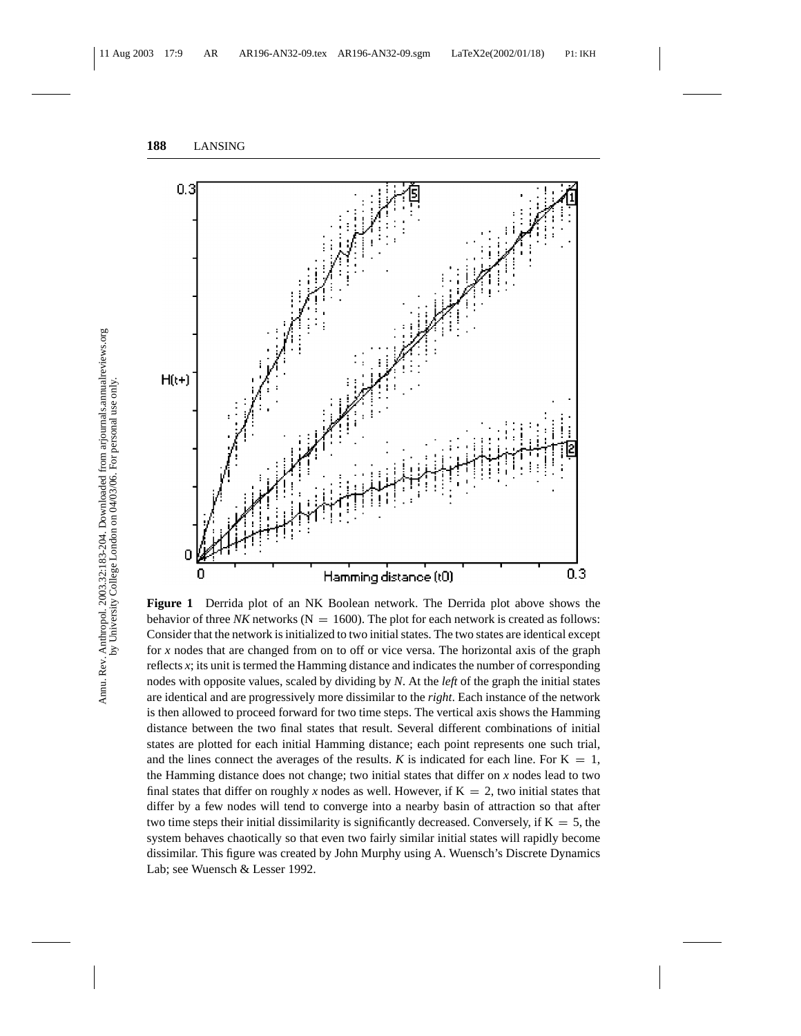

**Figure 1** Derrida plot of an NK Boolean network. The Derrida plot above shows the behavior of three *NK* networks ( $N = 1600$ ). The plot for each network is created as follows: Consider that the network is initialized to two initial states. The two states are identical except for *x* nodes that are changed from on to off or vice versa. The horizontal axis of the graph reflects *x*; its unit is termed the Hamming distance and indicates the number of corresponding nodes with opposite values, scaled by dividing by *N*. At the *left* of the graph the initial states are identical and are progressively more dissimilar to the *right*. Each instance of the network is then allowed to proceed forward for two time steps. The vertical axis shows the Hamming distance between the two final states that result. Several different combinations of initial states are plotted for each initial Hamming distance; each point represents one such trial, and the lines connect the averages of the results. *K* is indicated for each line. For  $K = 1$ , the Hamming distance does not change; two initial states that differ on *x* nodes lead to two final states that differ on roughly x nodes as well. However, if  $K = 2$ , two initial states that differ by a few nodes will tend to converge into a nearby basin of attraction so that after two time steps their initial dissimilarity is significantly decreased. Conversely, if  $K = 5$ , the system behaves chaotically so that even two fairly similar initial states will rapidly become dissimilar. This figure was created by John Murphy using A. Wuensch's Discrete Dynamics Lab; see Wuensch & Lesser 1992.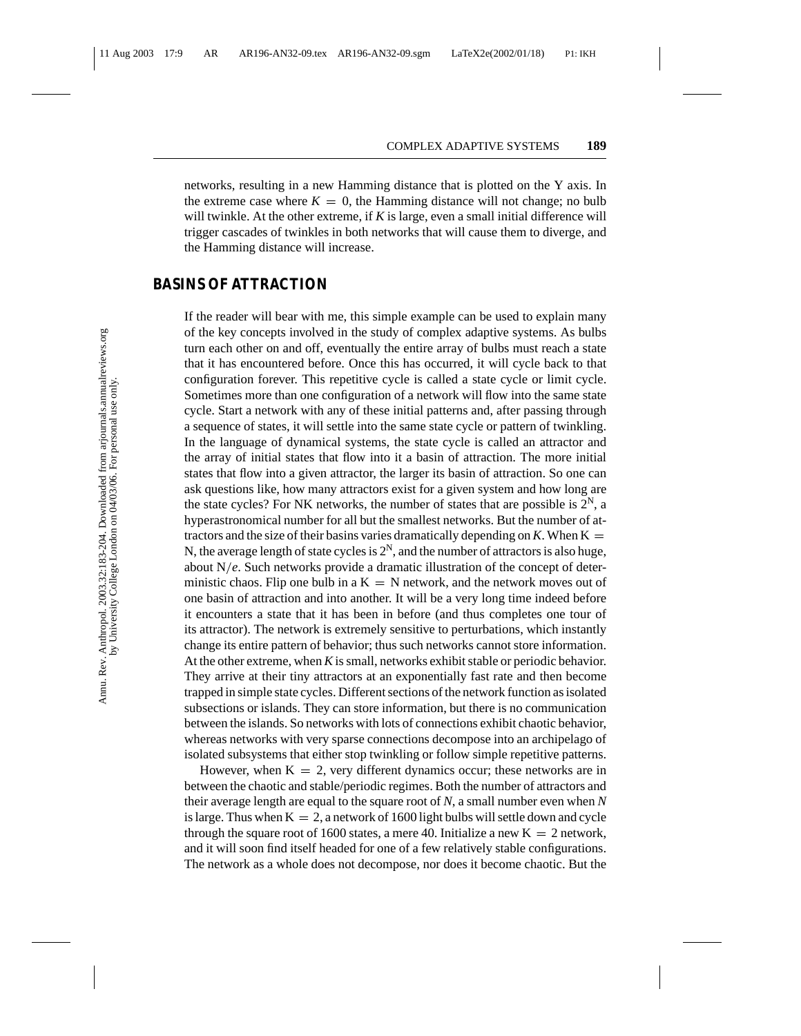networks, resulting in a new Hamming distance that is plotted on the Y axis. In the extreme case where  $K = 0$ , the Hamming distance will not change; no bulb will twinkle. At the other extreme, if *K* is large, even a small initial difference will trigger cascades of twinkles in both networks that will cause them to diverge, and the Hamming distance will increase.

#### **BASINS OF ATTRACTION**

If the reader will bear with me, this simple example can be used to explain many of the key concepts involved in the study of complex adaptive systems. As bulbs turn each other on and off, eventually the entire array of bulbs must reach a state that it has encountered before. Once this has occurred, it will cycle back to that configuration forever. This repetitive cycle is called a state cycle or limit cycle. Sometimes more than one configuration of a network will flow into the same state cycle. Start a network with any of these initial patterns and, after passing through a sequence of states, it will settle into the same state cycle or pattern of twinkling. In the language of dynamical systems, the state cycle is called an attractor and the array of initial states that flow into it a basin of attraction. The more initial states that flow into a given attractor, the larger its basin of attraction. So one can ask questions like, how many attractors exist for a given system and how long are the state cycles? For NK networks, the number of states that are possible is  $2^N$ , a hyperastronomical number for all but the smallest networks. But the number of attractors and the size of their basins varies dramatically depending on K. When  $K =$ N, the average length of state cycles is  $2^N$ , and the number of attractors is also huge, about N/*e*. Such networks provide a dramatic illustration of the concept of deterministic chaos. Flip one bulb in a  $K = N$  network, and the network moves out of one basin of attraction and into another. It will be a very long time indeed before it encounters a state that it has been in before (and thus completes one tour of its attractor). The network is extremely sensitive to perturbations, which instantly change its entire pattern of behavior; thus such networks cannot store information. At the other extreme, when *K* is small, networks exhibit stable or periodic behavior. They arrive at their tiny attractors at an exponentially fast rate and then become trapped in simple state cycles. Different sections of the network function as isolated subsections or islands. They can store information, but there is no communication between the islands. So networks with lots of connections exhibit chaotic behavior, whereas networks with very sparse connections decompose into an archipelago of isolated subsystems that either stop twinkling or follow simple repetitive patterns.

However, when  $K = 2$ , very different dynamics occur; these networks are in between the chaotic and stable/periodic regimes. Both the number of attractors and their average length are equal to the square root of *N*, a small number even when *N* is large. Thus when  $K = 2$ , a network of 1600 light bulbs will settle down and cycle through the square root of 1600 states, a mere 40. Initialize a new  $K = 2$  network, and it will soon find itself headed for one of a few relatively stable configurations. The network as a whole does not decompose, nor does it become chaotic. But the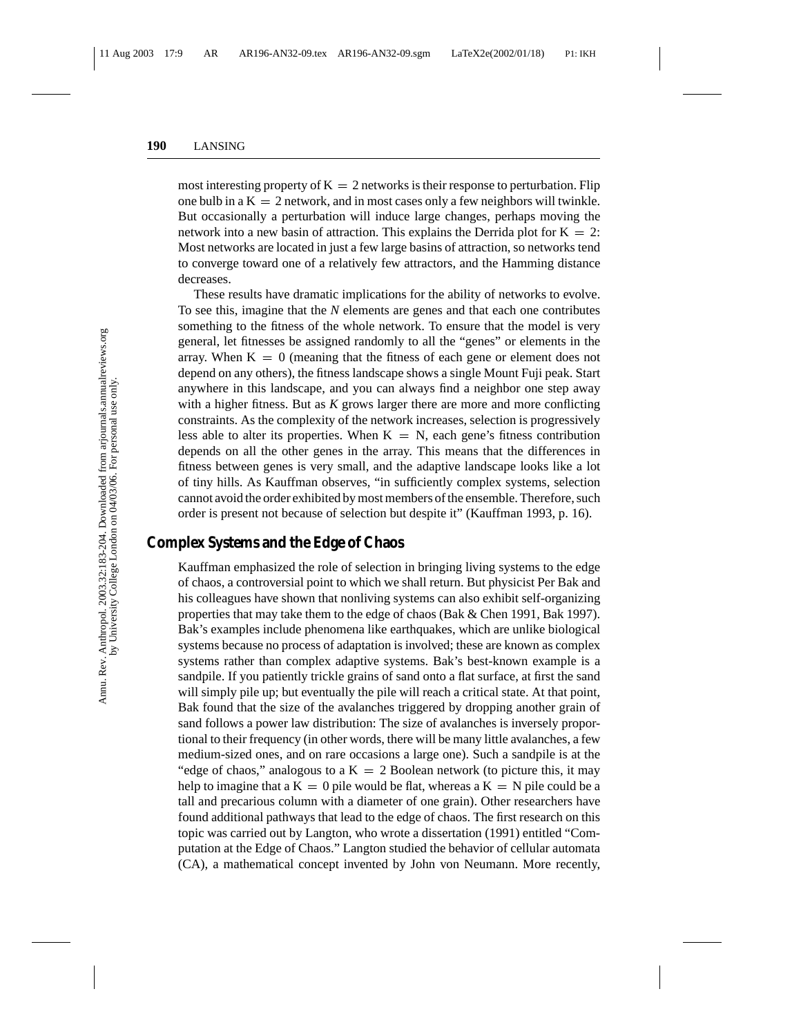most interesting property of  $K = 2$  networks is their response to perturbation. Flip one bulb in a  $K = 2$  network, and in most cases only a few neighbors will twinkle. But occasionally a perturbation will induce large changes, perhaps moving the network into a new basin of attraction. This explains the Derrida plot for  $K = 2$ : Most networks are located in just a few large basins of attraction, so networks tend to converge toward one of a relatively few attractors, and the Hamming distance decreases.

These results have dramatic implications for the ability of networks to evolve. To see this, imagine that the *N* elements are genes and that each one contributes something to the fitness of the whole network. To ensure that the model is very general, let fitnesses be assigned randomly to all the "genes" or elements in the array. When  $K = 0$  (meaning that the fitness of each gene or element does not depend on any others), the fitness landscape shows a single Mount Fuji peak. Start anywhere in this landscape, and you can always find a neighbor one step away with a higher fitness. But as *K* grows larger there are more and more conflicting constraints. As the complexity of the network increases, selection is progressively less able to alter its properties. When  $K = N$ , each gene's fitness contribution depends on all the other genes in the array. This means that the differences in fitness between genes is very small, and the adaptive landscape looks like a lot of tiny hills. As Kauffman observes, "in sufficiently complex systems, selection cannot avoid the order exhibited by most members of the ensemble. Therefore, such order is present not because of selection but despite it" (Kauffman 1993, p. 16).

#### **Complex Systems and the Edge of Chaos**

Kauffman emphasized the role of selection in bringing living systems to the edge of chaos, a controversial point to which we shall return. But physicist Per Bak and his colleagues have shown that nonliving systems can also exhibit self-organizing properties that may take them to the edge of chaos (Bak & Chen 1991, Bak 1997). Bak's examples include phenomena like earthquakes, which are unlike biological systems because no process of adaptation is involved; these are known as complex systems rather than complex adaptive systems. Bak's best-known example is a sandpile. If you patiently trickle grains of sand onto a flat surface, at first the sand will simply pile up; but eventually the pile will reach a critical state. At that point, Bak found that the size of the avalanches triggered by dropping another grain of sand follows a power law distribution: The size of avalanches is inversely proportional to their frequency (in other words, there will be many little avalanches, a few medium-sized ones, and on rare occasions a large one). Such a sandpile is at the "edge of chaos," analogous to a  $K = 2$  Boolean network (to picture this, it may help to imagine that a  $K = 0$  pile would be flat, whereas a  $K = N$  pile could be a tall and precarious column with a diameter of one grain). Other researchers have found additional pathways that lead to the edge of chaos. The first research on this topic was carried out by Langton, who wrote a dissertation (1991) entitled "Computation at the Edge of Chaos." Langton studied the behavior of cellular automata (CA), a mathematical concept invented by John von Neumann. More recently,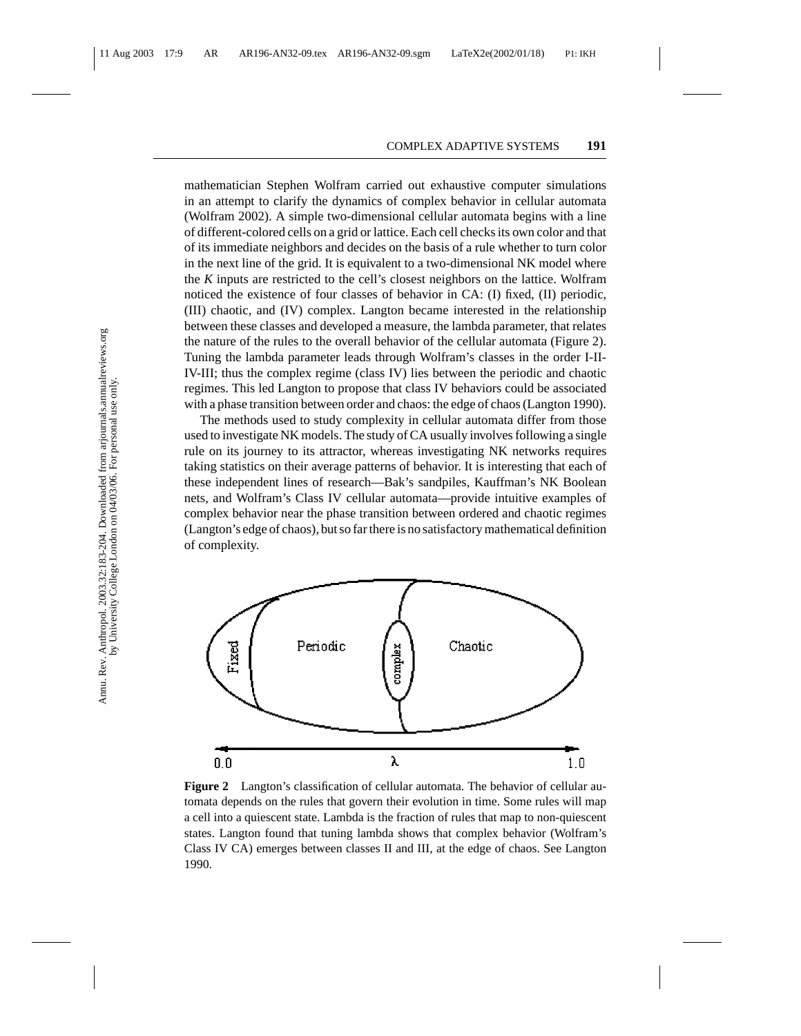mathematician Stephen Wolfram carried out exhaustive computer simulations in an attempt to clarify the dynamics of complex behavior in cellular automata (Wolfram 2002). A simple two-dimensional cellular automata begins with a line of different-colored cells on a grid or lattice. Each cell checks its own color and that of its immediate neighbors and decides on the basis of a rule whether to turn color in the next line of the grid. It is equivalent to a two-dimensional NK model where the *K* inputs are restricted to the cell's closest neighbors on the lattice. Wolfram noticed the existence of four classes of behavior in CA: (I) fixed, (II) periodic, (III) chaotic, and (IV) complex. Langton became interested in the relationship between these classes and developed a measure, the lambda parameter, that relates the nature of the rules to the overall behavior of the cellular automata (Figure 2). Tuning the lambda parameter leads through Wolfram's classes in the order I-II-IV-III; thus the complex regime (class IV) lies between the periodic and chaotic regimes. This led Langton to propose that class IV behaviors could be associated with a phase transition between order and chaos: the edge of chaos (Langton 1990).

The methods used to study complexity in cellular automata differ from those used to investigate NK models. The study of CA usually involves following a single rule on its journey to its attractor, whereas investigating NK networks requires taking statistics on their average patterns of behavior. It is interesting that each of these independent lines of research—Bak's sandpiles, Kauffman's NK Boolean nets, and Wolfram's Class IV cellular automata—provide intuitive examples of complex behavior near the phase transition between ordered and chaotic regimes (Langton's edge of chaos), but so far there is no satisfactory mathematical definition of complexity.



**Figure 2** Langton's classification of cellular automata. The behavior of cellular automata depends on the rules that govern their evolution in time. Some rules will map a cell into a quiescent state. Lambda is the fraction of rules that map to non-quiescent states. Langton found that tuning lambda shows that complex behavior (Wolfram's Class IV CA) emerges between classes II and III, at the edge of chaos. See Langton 1990.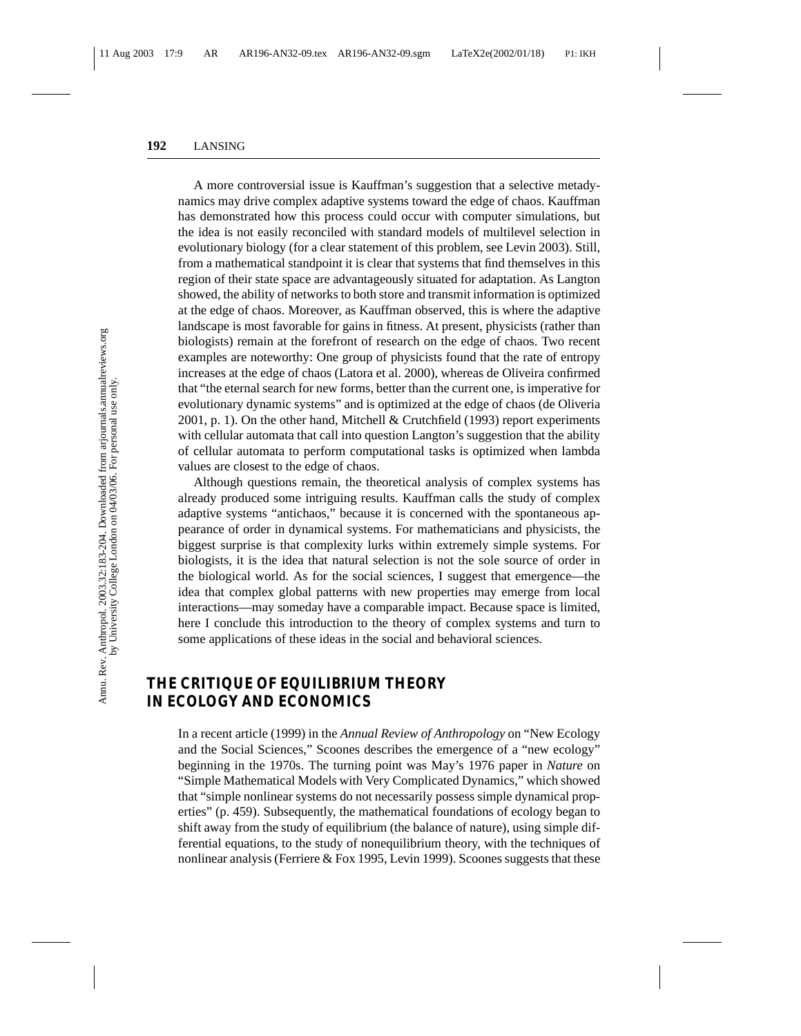A more controversial issue is Kauffman's suggestion that a selective metadynamics may drive complex adaptive systems toward the edge of chaos. Kauffman has demonstrated how this process could occur with computer simulations, but the idea is not easily reconciled with standard models of multilevel selection in evolutionary biology (for a clear statement of this problem, see Levin 2003). Still, from a mathematical standpoint it is clear that systems that find themselves in this region of their state space are advantageously situated for adaptation. As Langton showed, the ability of networks to both store and transmit information is optimized at the edge of chaos. Moreover, as Kauffman observed, this is where the adaptive landscape is most favorable for gains in fitness. At present, physicists (rather than biologists) remain at the forefront of research on the edge of chaos. Two recent examples are noteworthy: One group of physicists found that the rate of entropy increases at the edge of chaos (Latora et al. 2000), whereas de Oliveira confirmed that "the eternal search for new forms, better than the current one, is imperative for evolutionary dynamic systems" and is optimized at the edge of chaos (de Oliveria 2001, p. 1). On the other hand, Mitchell & Crutchfield (1993) report experiments with cellular automata that call into question Langton's suggestion that the ability of cellular automata to perform computational tasks is optimized when lambda values are closest to the edge of chaos.

Although questions remain, the theoretical analysis of complex systems has already produced some intriguing results. Kauffman calls the study of complex adaptive systems "antichaos," because it is concerned with the spontaneous appearance of order in dynamical systems. For mathematicians and physicists, the biggest surprise is that complexity lurks within extremely simple systems. For biologists, it is the idea that natural selection is not the sole source of order in the biological world. As for the social sciences, I suggest that emergence—the idea that complex global patterns with new properties may emerge from local interactions—may someday have a comparable impact. Because space is limited, here I conclude this introduction to the theory of complex systems and turn to some applications of these ideas in the social and behavioral sciences.

### **THE CRITIQUE OF EQUILIBRIUM THEORY IN ECOLOGY AND ECONOMICS**

In a recent article (1999) in the *Annual Review of Anthropology* on "New Ecology and the Social Sciences," Scoones describes the emergence of a "new ecology" beginning in the 1970s. The turning point was May's 1976 paper in *Nature* on "Simple Mathematical Models with Very Complicated Dynamics," which showed that "simple nonlinear systems do not necessarily possess simple dynamical properties" (p. 459). Subsequently, the mathematical foundations of ecology began to shift away from the study of equilibrium (the balance of nature), using simple differential equations, to the study of nonequilibrium theory, with the techniques of nonlinear analysis (Ferriere & Fox 1995, Levin 1999). Scoones suggests that these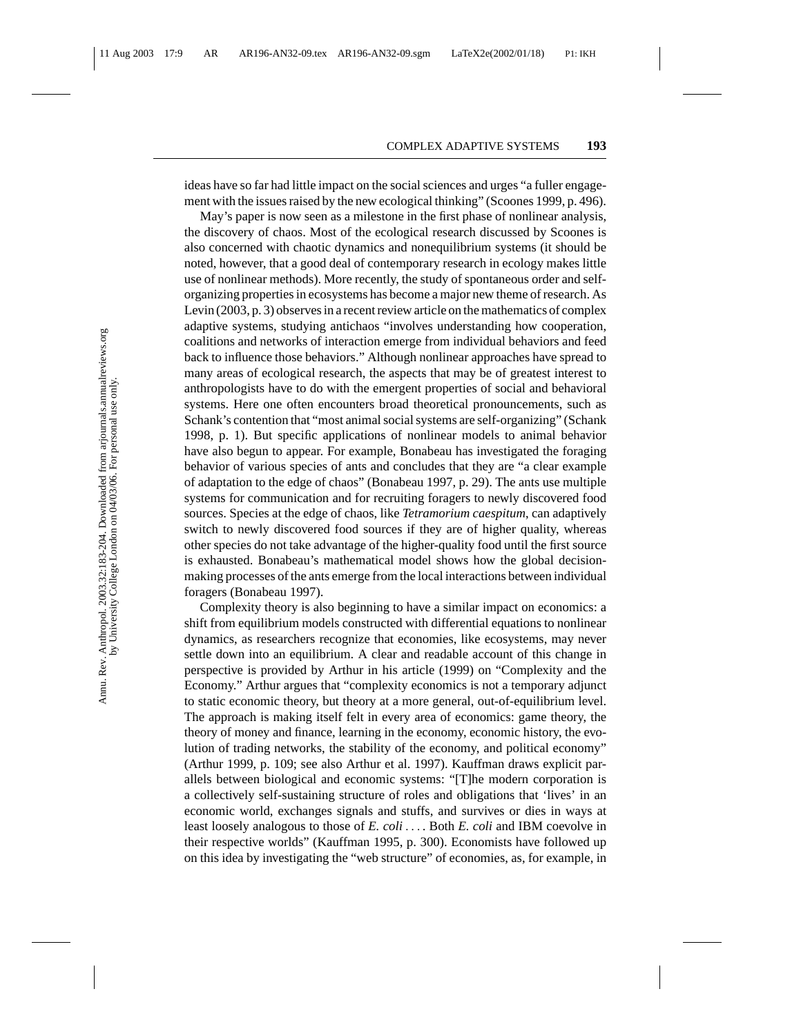ideas have so far had little impact on the social sciences and urges "a fuller engagement with the issues raised by the new ecological thinking" (Scoones 1999, p. 496).

May's paper is now seen as a milestone in the first phase of nonlinear analysis, the discovery of chaos. Most of the ecological research discussed by Scoones is also concerned with chaotic dynamics and nonequilibrium systems (it should be noted, however, that a good deal of contemporary research in ecology makes little use of nonlinear methods). More recently, the study of spontaneous order and selforganizing properties in ecosystems has become a major new theme of research. As Levin (2003, p. 3) observes in a recent review article on the mathematics of complex adaptive systems, studying antichaos "involves understanding how cooperation, coalitions and networks of interaction emerge from individual behaviors and feed back to influence those behaviors." Although nonlinear approaches have spread to many areas of ecological research, the aspects that may be of greatest interest to anthropologists have to do with the emergent properties of social and behavioral systems. Here one often encounters broad theoretical pronouncements, such as Schank's contention that "most animal social systems are self-organizing" (Schank 1998, p. 1). But specific applications of nonlinear models to animal behavior have also begun to appear. For example, Bonabeau has investigated the foraging behavior of various species of ants and concludes that they are "a clear example of adaptation to the edge of chaos" (Bonabeau 1997, p. 29). The ants use multiple systems for communication and for recruiting foragers to newly discovered food sources. Species at the edge of chaos, like *Tetramorium caespitum*, can adaptively switch to newly discovered food sources if they are of higher quality, whereas other species do not take advantage of the higher-quality food until the first source is exhausted. Bonabeau's mathematical model shows how the global decisionmaking processes of the ants emerge from the local interactions between individual foragers (Bonabeau 1997).

Complexity theory is also beginning to have a similar impact on economics: a shift from equilibrium models constructed with differential equations to nonlinear dynamics, as researchers recognize that economies, like ecosystems, may never settle down into an equilibrium. A clear and readable account of this change in perspective is provided by Arthur in his article (1999) on "Complexity and the Economy." Arthur argues that "complexity economics is not a temporary adjunct to static economic theory, but theory at a more general, out-of-equilibrium level. The approach is making itself felt in every area of economics: game theory, the theory of money and finance, learning in the economy, economic history, the evolution of trading networks, the stability of the economy, and political economy" (Arthur 1999, p. 109; see also Arthur et al. 1997). Kauffman draws explicit parallels between biological and economic systems: "[T]he modern corporation is a collectively self-sustaining structure of roles and obligations that 'lives' in an economic world, exchanges signals and stuffs, and survives or dies in ways at least loosely analogous to those of *E. coli* ... . Both *E. coli* and IBM coevolve in their respective worlds" (Kauffman 1995, p. 300). Economists have followed up on this idea by investigating the "web structure" of economies, as, for example, in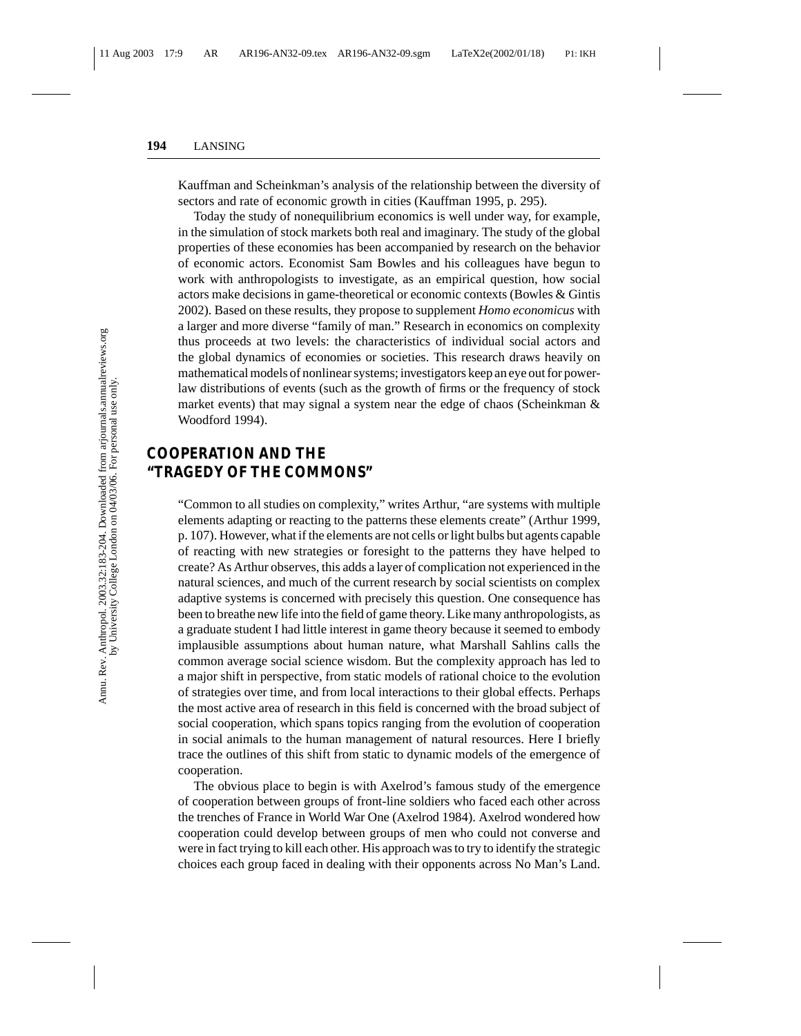Kauffman and Scheinkman's analysis of the relationship between the diversity of sectors and rate of economic growth in cities (Kauffman 1995, p. 295).

Today the study of nonequilibrium economics is well under way, for example, in the simulation of stock markets both real and imaginary. The study of the global properties of these economies has been accompanied by research on the behavior of economic actors. Economist Sam Bowles and his colleagues have begun to work with anthropologists to investigate, as an empirical question, how social actors make decisions in game-theoretical or economic contexts (Bowles & Gintis 2002). Based on these results, they propose to supplement *Homo economicus* with a larger and more diverse "family of man." Research in economics on complexity thus proceeds at two levels: the characteristics of individual social actors and the global dynamics of economies or societies. This research draws heavily on mathematical models of nonlinear systems; investigators keep an eye out for powerlaw distributions of events (such as the growth of firms or the frequency of stock market events) that may signal a system near the edge of chaos (Scheinkman & Woodford 1994).

## **COOPERATION AND THE "TRAGEDY OF THE COMMONS"**

"Common to all studies on complexity," writes Arthur, "are systems with multiple elements adapting or reacting to the patterns these elements create" (Arthur 1999, p. 107). However, what if the elements are not cells or light bulbs but agents capable of reacting with new strategies or foresight to the patterns they have helped to create? As Arthur observes, this adds a layer of complication not experienced in the natural sciences, and much of the current research by social scientists on complex adaptive systems is concerned with precisely this question. One consequence has been to breathe new life into the field of game theory. Like many anthropologists, as a graduate student I had little interest in game theory because it seemed to embody implausible assumptions about human nature, what Marshall Sahlins calls the common average social science wisdom. But the complexity approach has led to a major shift in perspective, from static models of rational choice to the evolution of strategies over time, and from local interactions to their global effects. Perhaps the most active area of research in this field is concerned with the broad subject of social cooperation, which spans topics ranging from the evolution of cooperation in social animals to the human management of natural resources. Here I briefly trace the outlines of this shift from static to dynamic models of the emergence of cooperation.

The obvious place to begin is with Axelrod's famous study of the emergence of cooperation between groups of front-line soldiers who faced each other across the trenches of France in World War One (Axelrod 1984). Axelrod wondered how cooperation could develop between groups of men who could not converse and were in fact trying to kill each other. His approach was to try to identify the strategic choices each group faced in dealing with their opponents across No Man's Land.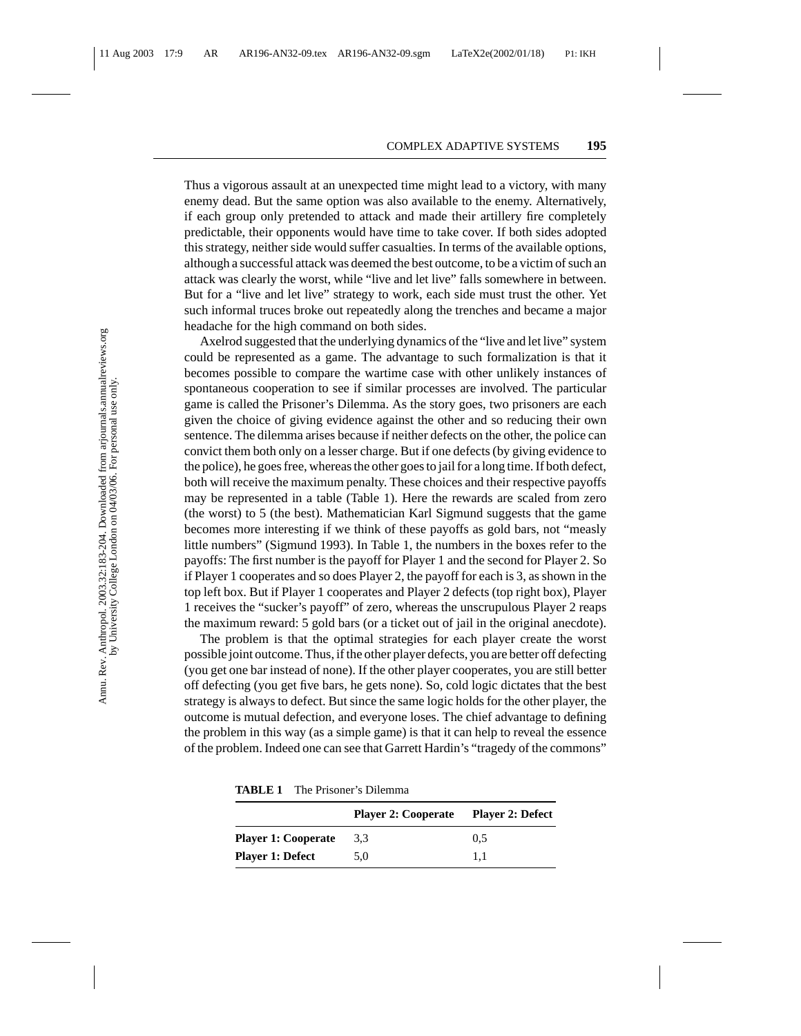Thus a vigorous assault at an unexpected time might lead to a victory, with many enemy dead. But the same option was also available to the enemy. Alternatively, if each group only pretended to attack and made their artillery fire completely predictable, their opponents would have time to take cover. If both sides adopted this strategy, neither side would suffer casualties. In terms of the available options, although a successful attack was deemed the best outcome, to be a victim of such an attack was clearly the worst, while "live and let live" falls somewhere in between. But for a "live and let live" strategy to work, each side must trust the other. Yet such informal truces broke out repeatedly along the trenches and became a major headache for the high command on both sides.

Axelrod suggested that the underlying dynamics of the "live and let live" system could be represented as a game. The advantage to such formalization is that it becomes possible to compare the wartime case with other unlikely instances of spontaneous cooperation to see if similar processes are involved. The particular game is called the Prisoner's Dilemma. As the story goes, two prisoners are each given the choice of giving evidence against the other and so reducing their own sentence. The dilemma arises because if neither defects on the other, the police can convict them both only on a lesser charge. But if one defects (by giving evidence to the police), he goes free, whereas the other goes to jail for a long time. If both defect, both will receive the maximum penalty. These choices and their respective payoffs may be represented in a table (Table 1). Here the rewards are scaled from zero (the worst) to 5 (the best). Mathematician Karl Sigmund suggests that the game becomes more interesting if we think of these payoffs as gold bars, not "measly little numbers" (Sigmund 1993). In Table 1, the numbers in the boxes refer to the payoffs: The first number is the payoff for Player 1 and the second for Player 2. So if Player 1 cooperates and so does Player 2, the payoff for each is 3, as shown in the top left box. But if Player 1 cooperates and Player 2 defects (top right box), Player 1 receives the "sucker's payoff" of zero, whereas the unscrupulous Player 2 reaps the maximum reward: 5 gold bars (or a ticket out of jail in the original anecdote).

The problem is that the optimal strategies for each player create the worst possible joint outcome. Thus, if the other player defects, you are better off defecting (you get one bar instead of none). If the other player cooperates, you are still better off defecting (you get five bars, he gets none). So, cold logic dictates that the best strategy is always to defect. But since the same logic holds for the other player, the outcome is mutual defection, and everyone loses. The chief advantage to defining the problem in this way (as a simple game) is that it can help to reveal the essence of the problem. Indeed one can see that Garrett Hardin's "tragedy of the commons"

**TABLE 1** The Prisoner's Dilemma

|                            | <b>Player 2: Cooperate</b> | <b>Player 2: Defect</b> |
|----------------------------|----------------------------|-------------------------|
| <b>Player 1: Cooperate</b> | 3.3                        | 0.5                     |
| <b>Player 1: Defect</b>    | 5,0                        | 1.1                     |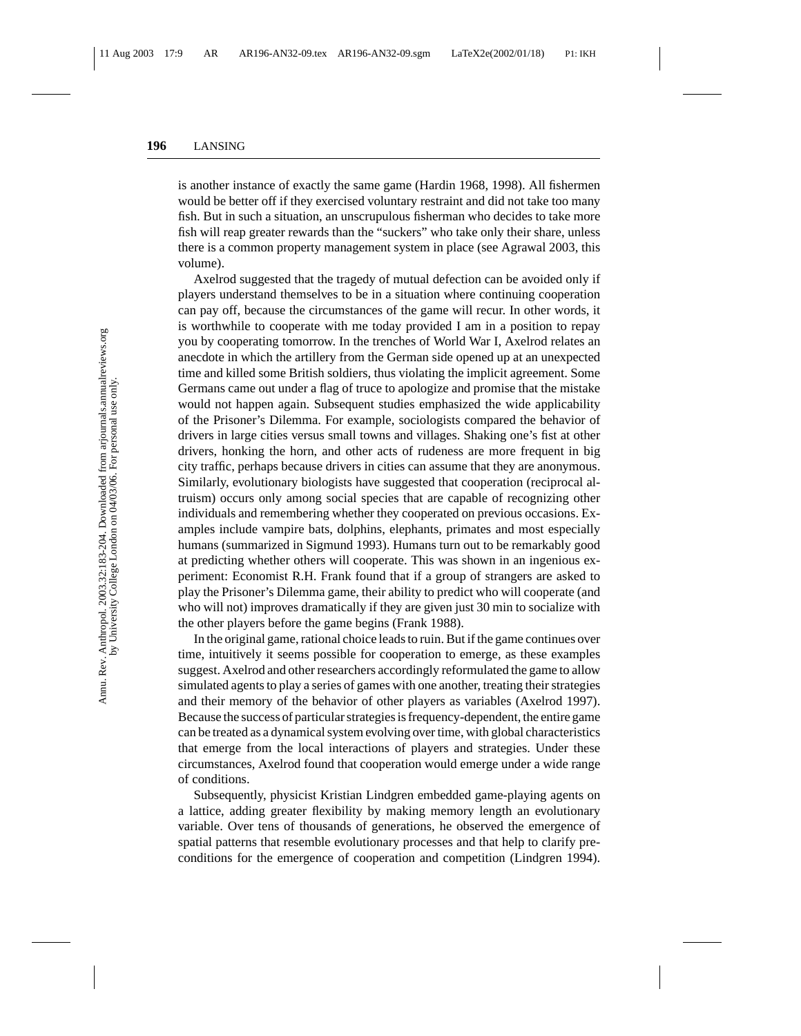is another instance of exactly the same game (Hardin 1968, 1998). All fishermen would be better off if they exercised voluntary restraint and did not take too many fish. But in such a situation, an unscrupulous fisherman who decides to take more fish will reap greater rewards than the "suckers" who take only their share, unless there is a common property management system in place (see Agrawal 2003, this volume).

Axelrod suggested that the tragedy of mutual defection can be avoided only if players understand themselves to be in a situation where continuing cooperation can pay off, because the circumstances of the game will recur. In other words, it is worthwhile to cooperate with me today provided I am in a position to repay you by cooperating tomorrow. In the trenches of World War I, Axelrod relates an anecdote in which the artillery from the German side opened up at an unexpected time and killed some British soldiers, thus violating the implicit agreement. Some Germans came out under a flag of truce to apologize and promise that the mistake would not happen again. Subsequent studies emphasized the wide applicability of the Prisoner's Dilemma. For example, sociologists compared the behavior of drivers in large cities versus small towns and villages. Shaking one's fist at other drivers, honking the horn, and other acts of rudeness are more frequent in big city traffic, perhaps because drivers in cities can assume that they are anonymous. Similarly, evolutionary biologists have suggested that cooperation (reciprocal altruism) occurs only among social species that are capable of recognizing other individuals and remembering whether they cooperated on previous occasions. Examples include vampire bats, dolphins, elephants, primates and most especially humans (summarized in Sigmund 1993). Humans turn out to be remarkably good at predicting whether others will cooperate. This was shown in an ingenious experiment: Economist R.H. Frank found that if a group of strangers are asked to play the Prisoner's Dilemma game, their ability to predict who will cooperate (and who will not) improves dramatically if they are given just 30 min to socialize with the other players before the game begins (Frank 1988).

In the original game, rational choice leads to ruin. But if the game continues over time, intuitively it seems possible for cooperation to emerge, as these examples suggest. Axelrod and other researchers accordingly reformulated the game to allow simulated agents to play a series of games with one another, treating their strategies and their memory of the behavior of other players as variables (Axelrod 1997). Because the success of particular strategies is frequency-dependent, the entire game can be treated as a dynamical system evolving over time, with global characteristics that emerge from the local interactions of players and strategies. Under these circumstances, Axelrod found that cooperation would emerge under a wide range of conditions.

Subsequently, physicist Kristian Lindgren embedded game-playing agents on a lattice, adding greater flexibility by making memory length an evolutionary variable. Over tens of thousands of generations, he observed the emergence of spatial patterns that resemble evolutionary processes and that help to clarify preconditions for the emergence of cooperation and competition (Lindgren 1994).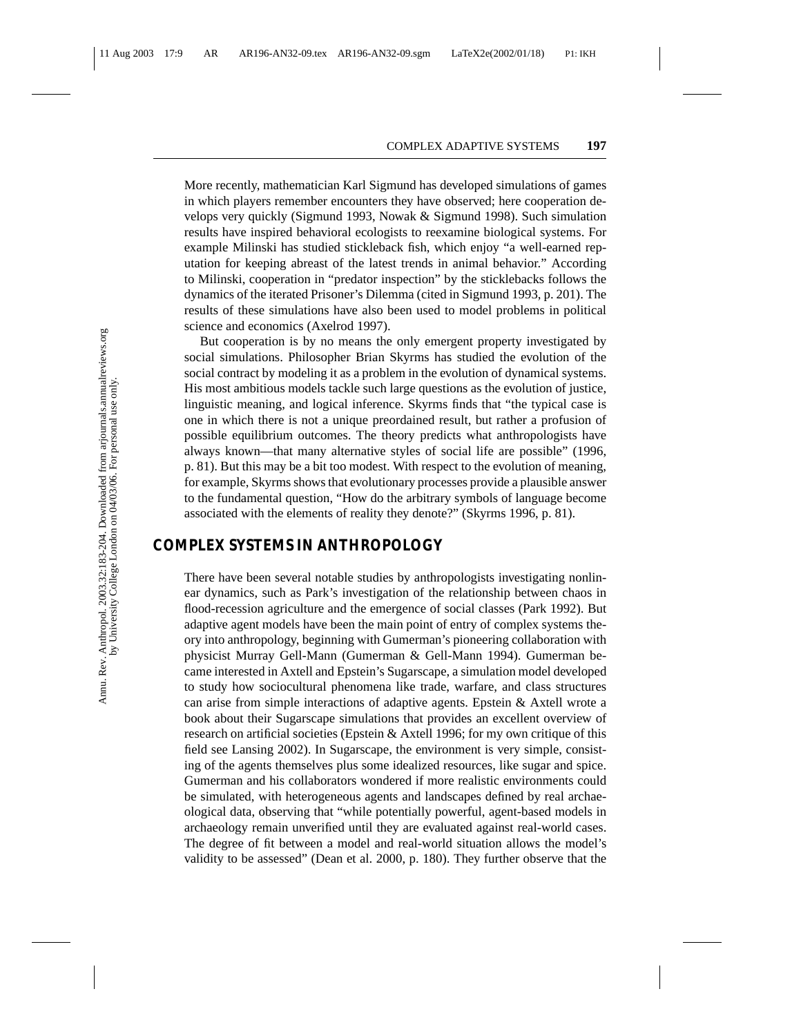More recently, mathematician Karl Sigmund has developed simulations of games in which players remember encounters they have observed; here cooperation develops very quickly (Sigmund 1993, Nowak & Sigmund 1998). Such simulation results have inspired behavioral ecologists to reexamine biological systems. For example Milinski has studied stickleback fish, which enjoy "a well-earned reputation for keeping abreast of the latest trends in animal behavior." According to Milinski, cooperation in "predator inspection" by the sticklebacks follows the dynamics of the iterated Prisoner's Dilemma (cited in Sigmund 1993, p. 201). The results of these simulations have also been used to model problems in political science and economics (Axelrod 1997).

But cooperation is by no means the only emergent property investigated by social simulations. Philosopher Brian Skyrms has studied the evolution of the social contract by modeling it as a problem in the evolution of dynamical systems. His most ambitious models tackle such large questions as the evolution of justice, linguistic meaning, and logical inference. Skyrms finds that "the typical case is one in which there is not a unique preordained result, but rather a profusion of possible equilibrium outcomes. The theory predicts what anthropologists have always known—that many alternative styles of social life are possible" (1996, p. 81). But this may be a bit too modest. With respect to the evolution of meaning, for example, Skyrms shows that evolutionary processes provide a plausible answer to the fundamental question, "How do the arbitrary symbols of language become associated with the elements of reality they denote?" (Skyrms 1996, p. 81).

#### **COMPLEX SYSTEMS IN ANTHROPOLOGY**

There have been several notable studies by anthropologists investigating nonlinear dynamics, such as Park's investigation of the relationship between chaos in flood-recession agriculture and the emergence of social classes (Park 1992). But adaptive agent models have been the main point of entry of complex systems theory into anthropology, beginning with Gumerman's pioneering collaboration with physicist Murray Gell-Mann (Gumerman & Gell-Mann 1994). Gumerman became interested in Axtell and Epstein's Sugarscape, a simulation model developed to study how sociocultural phenomena like trade, warfare, and class structures can arise from simple interactions of adaptive agents. Epstein & Axtell wrote a book about their Sugarscape simulations that provides an excellent overview of research on artificial societies (Epstein & Axtell 1996; for my own critique of this field see Lansing 2002). In Sugarscape, the environment is very simple, consisting of the agents themselves plus some idealized resources, like sugar and spice. Gumerman and his collaborators wondered if more realistic environments could be simulated, with heterogeneous agents and landscapes defined by real archaeological data, observing that "while potentially powerful, agent-based models in archaeology remain unverified until they are evaluated against real-world cases. The degree of fit between a model and real-world situation allows the model's validity to be assessed" (Dean et al. 2000, p. 180). They further observe that the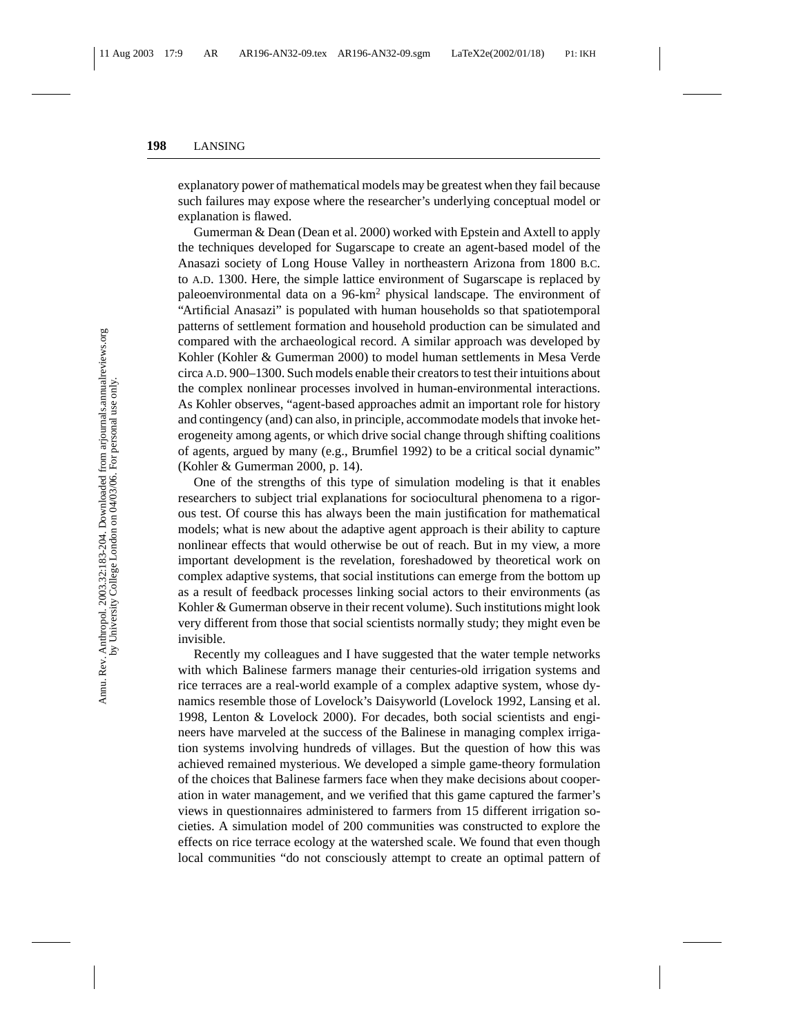explanatory power of mathematical models may be greatest when they fail because such failures may expose where the researcher's underlying conceptual model or explanation is flawed.

Gumerman & Dean (Dean et al. 2000) worked with Epstein and Axtell to apply the techniques developed for Sugarscape to create an agent-based model of the Anasazi society of Long House Valley in northeastern Arizona from 1800 B.C. to A.D. 1300. Here, the simple lattice environment of Sugarscape is replaced by paleoenvironmental data on a 96-km<sup>2</sup> physical landscape. The environment of "Artificial Anasazi" is populated with human households so that spatiotemporal patterns of settlement formation and household production can be simulated and compared with the archaeological record. A similar approach was developed by Kohler (Kohler & Gumerman 2000) to model human settlements in Mesa Verde circa A.D. 900–1300. Such models enable their creators to test their intuitions about the complex nonlinear processes involved in human-environmental interactions. As Kohler observes, "agent-based approaches admit an important role for history and contingency (and) can also, in principle, accommodate models that invoke heterogeneity among agents, or which drive social change through shifting coalitions of agents, argued by many (e.g., Brumfiel 1992) to be a critical social dynamic" (Kohler & Gumerman 2000, p. 14).

One of the strengths of this type of simulation modeling is that it enables researchers to subject trial explanations for sociocultural phenomena to a rigorous test. Of course this has always been the main justification for mathematical models; what is new about the adaptive agent approach is their ability to capture nonlinear effects that would otherwise be out of reach. But in my view, a more important development is the revelation, foreshadowed by theoretical work on complex adaptive systems, that social institutions can emerge from the bottom up as a result of feedback processes linking social actors to their environments (as Kohler & Gumerman observe in their recent volume). Such institutions might look very different from those that social scientists normally study; they might even be invisible.

Recently my colleagues and I have suggested that the water temple networks with which Balinese farmers manage their centuries-old irrigation systems and rice terraces are a real-world example of a complex adaptive system, whose dynamics resemble those of Lovelock's Daisyworld (Lovelock 1992, Lansing et al. 1998, Lenton & Lovelock 2000). For decades, both social scientists and engineers have marveled at the success of the Balinese in managing complex irrigation systems involving hundreds of villages. But the question of how this was achieved remained mysterious. We developed a simple game-theory formulation of the choices that Balinese farmers face when they make decisions about cooperation in water management, and we verified that this game captured the farmer's views in questionnaires administered to farmers from 15 different irrigation societies. A simulation model of 200 communities was constructed to explore the effects on rice terrace ecology at the watershed scale. We found that even though local communities "do not consciously attempt to create an optimal pattern of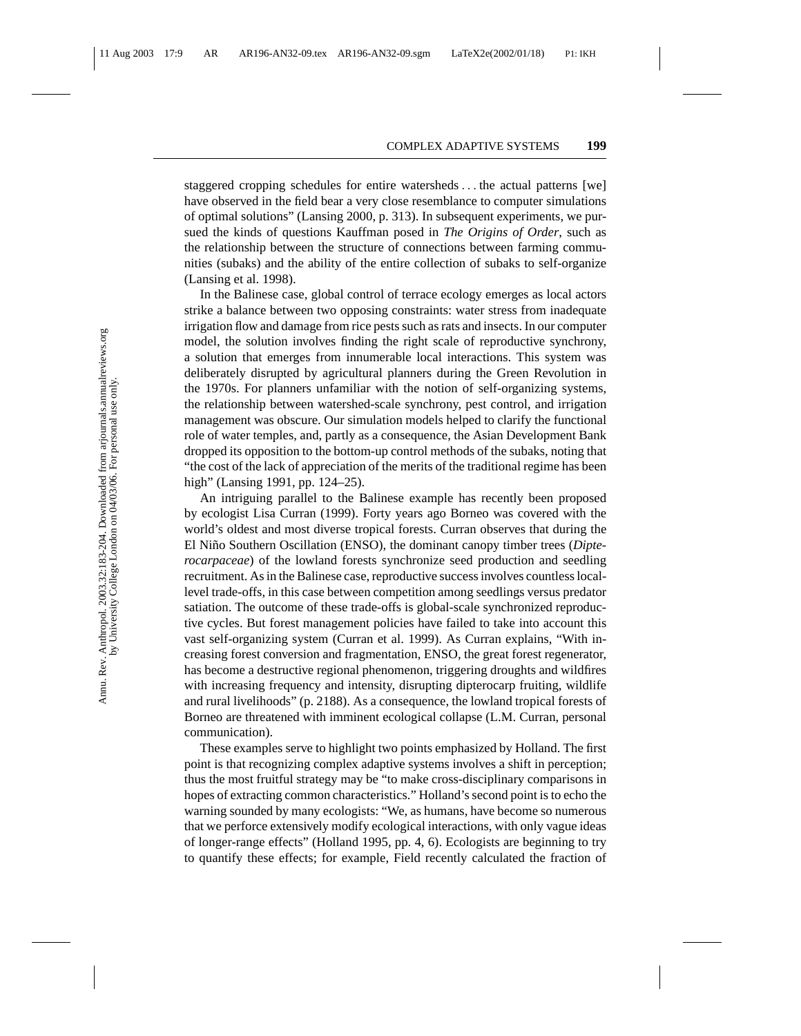staggered cropping schedules for entire watersheds ... the actual patterns [we] have observed in the field bear a very close resemblance to computer simulations of optimal solutions" (Lansing 2000, p. 313). In subsequent experiments, we pursued the kinds of questions Kauffman posed in *The Origins of Order*, such as the relationship between the structure of connections between farming communities (subaks) and the ability of the entire collection of subaks to self-organize (Lansing et al. 1998).

In the Balinese case, global control of terrace ecology emerges as local actors strike a balance between two opposing constraints: water stress from inadequate irrigation flow and damage from rice pests such as rats and insects. In our computer model, the solution involves finding the right scale of reproductive synchrony, a solution that emerges from innumerable local interactions. This system was deliberately disrupted by agricultural planners during the Green Revolution in the 1970s. For planners unfamiliar with the notion of self-organizing systems, the relationship between watershed-scale synchrony, pest control, and irrigation management was obscure. Our simulation models helped to clarify the functional role of water temples, and, partly as a consequence, the Asian Development Bank dropped its opposition to the bottom-up control methods of the subaks, noting that "the cost of the lack of appreciation of the merits of the traditional regime has been high" (Lansing 1991, pp. 124–25).

An intriguing parallel to the Balinese example has recently been proposed by ecologist Lisa Curran (1999). Forty years ago Borneo was covered with the world's oldest and most diverse tropical forests. Curran observes that during the El Niño Southern Oscillation (ENSO), the dominant canopy timber trees (*Dipterocarpaceae*) of the lowland forests synchronize seed production and seedling recruitment. As in the Balinese case, reproductive success involves countless locallevel trade-offs, in this case between competition among seedlings versus predator satiation. The outcome of these trade-offs is global-scale synchronized reproductive cycles. But forest management policies have failed to take into account this vast self-organizing system (Curran et al. 1999). As Curran explains, "With increasing forest conversion and fragmentation, ENSO, the great forest regenerator, has become a destructive regional phenomenon, triggering droughts and wildfires with increasing frequency and intensity, disrupting dipterocarp fruiting, wildlife and rural livelihoods" (p. 2188). As a consequence, the lowland tropical forests of Borneo are threatened with imminent ecological collapse (L.M. Curran, personal communication).

These examples serve to highlight two points emphasized by Holland. The first point is that recognizing complex adaptive systems involves a shift in perception; thus the most fruitful strategy may be "to make cross-disciplinary comparisons in hopes of extracting common characteristics." Holland's second point is to echo the warning sounded by many ecologists: "We, as humans, have become so numerous that we perforce extensively modify ecological interactions, with only vague ideas of longer-range effects" (Holland 1995, pp. 4, 6). Ecologists are beginning to try to quantify these effects; for example, Field recently calculated the fraction of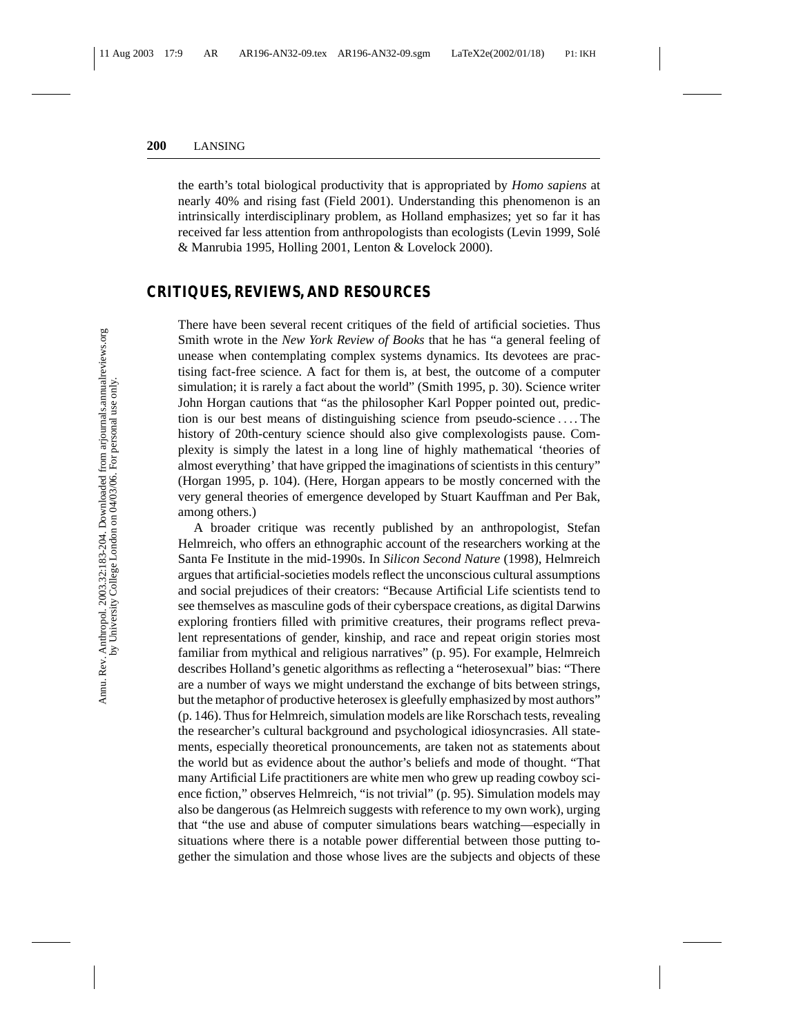the earth's total biological productivity that is appropriated by *Homo sapiens* at nearly 40% and rising fast (Field 2001). Understanding this phenomenon is an intrinsically interdisciplinary problem, as Holland emphasizes; yet so far it has received far less attention from anthropologists than ecologists (Levin 1999, Solé & Manrubia 1995, Holling 2001, Lenton & Lovelock 2000).

#### **CRITIQUES, REVIEWS, AND RESOURCES**

There have been several recent critiques of the field of artificial societies. Thus Smith wrote in the *New York Review of Books* that he has "a general feeling of unease when contemplating complex systems dynamics. Its devotees are practising fact-free science. A fact for them is, at best, the outcome of a computer simulation; it is rarely a fact about the world" (Smith 1995, p. 30). Science writer John Horgan cautions that "as the philosopher Karl Popper pointed out, prediction is our best means of distinguishing science from pseudo-science .... The history of 20th-century science should also give complexologists pause. Complexity is simply the latest in a long line of highly mathematical 'theories of almost everything' that have gripped the imaginations of scientists in this century" (Horgan 1995, p. 104). (Here, Horgan appears to be mostly concerned with the very general theories of emergence developed by Stuart Kauffman and Per Bak, among others.)

A broader critique was recently published by an anthropologist, Stefan Helmreich, who offers an ethnographic account of the researchers working at the Santa Fe Institute in the mid-1990s. In *Silicon Second Nature* (1998), Helmreich argues that artificial-societies models reflect the unconscious cultural assumptions and social prejudices of their creators: "Because Artificial Life scientists tend to see themselves as masculine gods of their cyberspace creations, as digital Darwins exploring frontiers filled with primitive creatures, their programs reflect prevalent representations of gender, kinship, and race and repeat origin stories most familiar from mythical and religious narratives" (p. 95). For example, Helmreich describes Holland's genetic algorithms as reflecting a "heterosexual" bias: "There are a number of ways we might understand the exchange of bits between strings, but the metaphor of productive heterosex is gleefully emphasized by most authors" (p. 146). Thus for Helmreich, simulation models are like Rorschach tests, revealing the researcher's cultural background and psychological idiosyncrasies. All statements, especially theoretical pronouncements, are taken not as statements about the world but as evidence about the author's beliefs and mode of thought. "That many Artificial Life practitioners are white men who grew up reading cowboy science fiction," observes Helmreich, "is not trivial" (p. 95). Simulation models may also be dangerous (as Helmreich suggests with reference to my own work), urging that "the use and abuse of computer simulations bears watching—especially in situations where there is a notable power differential between those putting together the simulation and those whose lives are the subjects and objects of these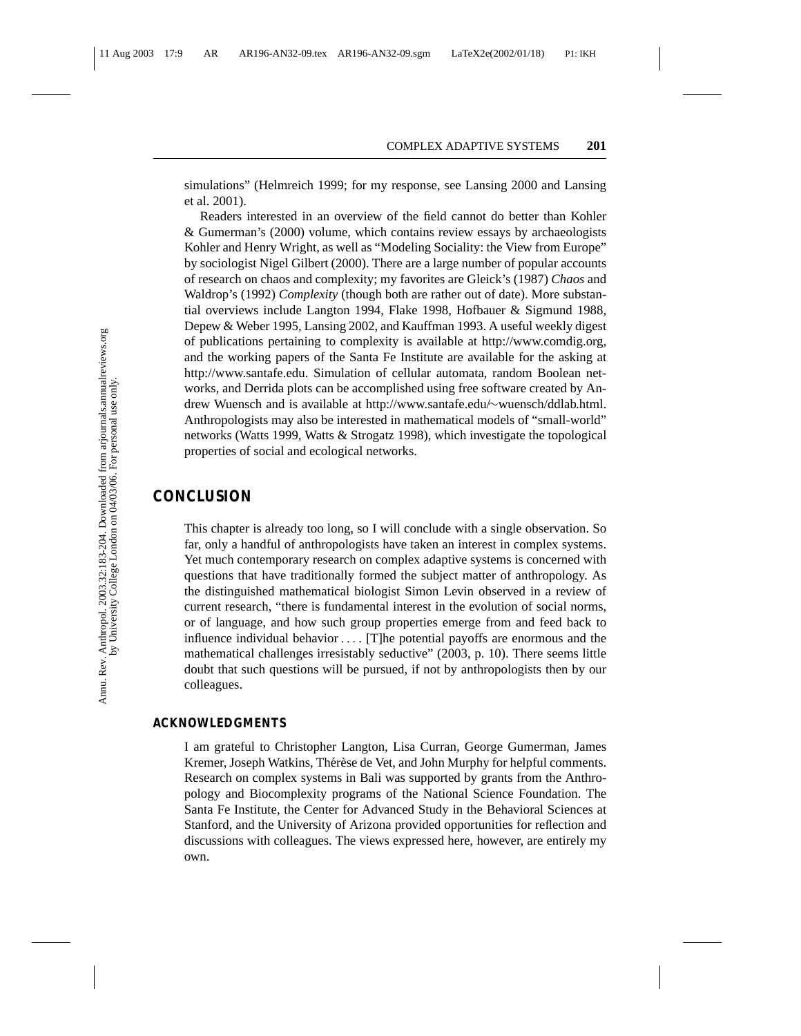simulations" (Helmreich 1999; for my response, see Lansing 2000 and Lansing et al. 2001).

Readers interested in an overview of the field cannot do better than Kohler & Gumerman's (2000) volume, which contains review essays by archaeologists Kohler and Henry Wright, as well as "Modeling Sociality: the View from Europe" by sociologist Nigel Gilbert (2000). There are a large number of popular accounts of research on chaos and complexity; my favorites are Gleick's (1987) *Chaos* and Waldrop's (1992) *Complexity* (though both are rather out of date). More substantial overviews include Langton 1994, Flake 1998, Hofbauer & Sigmund 1988, Depew & Weber 1995, Lansing 2002, and Kauffman 1993. A useful weekly digest of publications pertaining to complexity is available at http://www.comdig.org, and the working papers of the Santa Fe Institute are available for the asking at http://www.santafe.edu. Simulation of cellular automata, random Boolean networks, and Derrida plots can be accomplished using free software created by Andrew Wuensch and is available at http://www.santafe.edu/∼wuensch/ddlab.html. Anthropologists may also be interested in mathematical models of "small-world" networks (Watts 1999, Watts & Strogatz 1998), which investigate the topological properties of social and ecological networks.

#### **CONCLUSION**

This chapter is already too long, so I will conclude with a single observation. So far, only a handful of anthropologists have taken an interest in complex systems. Yet much contemporary research on complex adaptive systems is concerned with questions that have traditionally formed the subject matter of anthropology. As the distinguished mathematical biologist Simon Levin observed in a review of current research, "there is fundamental interest in the evolution of social norms, or of language, and how such group properties emerge from and feed back to influence individual behavior ... . [T]he potential payoffs are enormous and the mathematical challenges irresistably seductive" (2003, p. 10). There seems little doubt that such questions will be pursued, if not by anthropologists then by our colleagues.

#### **ACKNOWLEDGMENTS**

I am grateful to Christopher Langton, Lisa Curran, George Gumerman, James Kremer, Joseph Watkins, Thérèse de Vet, and John Murphy for helpful comments. Research on complex systems in Bali was supported by grants from the Anthropology and Biocomplexity programs of the National Science Foundation. The Santa Fe Institute, the Center for Advanced Study in the Behavioral Sciences at Stanford, and the University of Arizona provided opportunities for reflection and discussions with colleagues. The views expressed here, however, are entirely my own.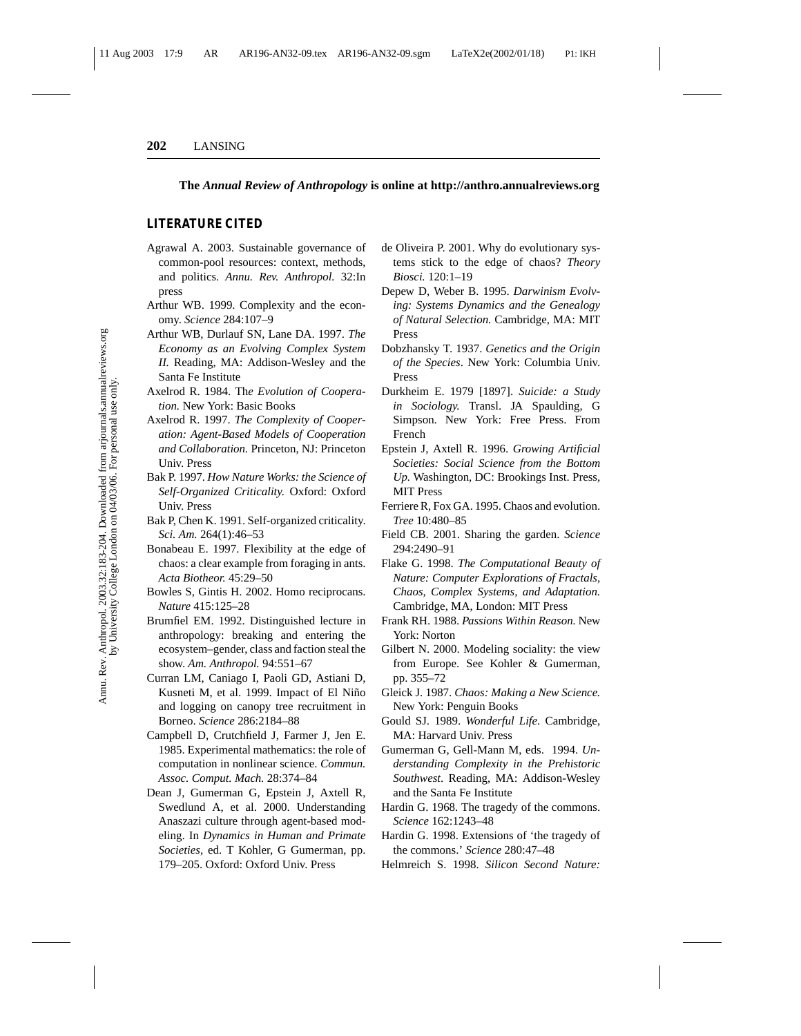#### **The** *Annual Review of Anthropology* **is online at http://anthro.annualreviews.org**

#### **LITERATURE CITED**

- Agrawal A. 2003. Sustainable governance of common-pool resources: context, methods, and politics. *Annu. Rev. Anthropol.* 32:In press
- Arthur WB. 1999. Complexity and the economy. *Science* 284:107–9
- Arthur WB, Durlauf SN, Lane DA. 1997. *The Economy as an Evolving Complex System II.* Reading, MA: Addison-Wesley and the Santa Fe Institute
- Axelrod R. 1984. Th*e Evolution of Cooperation.* New York: Basic Books
- Axelrod R. 1997. *The Complexity of Cooperation: Agent-Based Models of Cooperation and Collaboration.* Princeton, NJ: Princeton Univ. Press
- Bak P. 1997. *How Nature Works: the Science of Self-Organized Criticality.* Oxford: Oxford Univ. Press
- Bak P, Chen K. 1991. Self-organized criticality. *Sci. Am.* 264(1):46–53
- Bonabeau E. 1997. Flexibility at the edge of chaos: a clear example from foraging in ants. *Acta Biotheor.* 45:29–50
- Bowles S, Gintis H. 2002. Homo reciprocans. *Nature* 415:125–28
- Brumfiel EM. 1992. Distinguished lecture in anthropology: breaking and entering the ecosystem–gender, class and faction steal the show. *Am. Anthropol.* 94:551–67
- Curran LM, Caniago I, Paoli GD, Astiani D, Kusneti M, et al. 1999. Impact of El Niño and logging on canopy tree recruitment in Borneo. *Science* 286:2184–88
- Campbell D, Crutchfield J, Farmer J, Jen E. 1985. Experimental mathematics: the role of computation in nonlinear science. *Commun. Assoc. Comput. Mach.* 28:374–84
- Dean J, Gumerman G, Epstein J, Axtell R, Swedlund A, et al. 2000. Understanding Anaszazi culture through agent-based modeling. In *Dynamics in Human and Primate Societies*, ed. T Kohler, G Gumerman, pp. 179–205. Oxford: Oxford Univ. Press
- de Oliveira P. 2001. Why do evolutionary systems stick to the edge of chaos? *Theory Biosci.* 120:1–19
- Depew D, Weber B. 1995. *Darwinism Evolving: Systems Dynamics and the Genealogy of Natural Selection.* Cambridge, MA: MIT Press
- Dobzhansky T. 1937. *Genetics and the Origin of the Species*. New York: Columbia Univ. Press
- Durkheim E. 1979 [1897]. *Suicide: a Study in Sociology.* Transl. JA Spaulding, G Simpson. New York: Free Press. From French
- Epstein J, Axtell R. 1996. *Growing Artificial Societies: Social Science from the Bottom Up.* Washington, DC: Brookings Inst. Press, MIT Press
- Ferriere R, Fox GA. 1995. Chaos and evolution. *Tree* 10:480–85
- Field CB. 2001. Sharing the garden. *Science* 294:2490–91
- Flake G. 1998. *The Computational Beauty of Nature: Computer Explorations of Fractals, Chaos, Complex Systems, and Adaptation.* Cambridge, MA, London: MIT Press
- Frank RH. 1988. *Passions Within Reason.* New York: Norton
- Gilbert N. 2000. Modeling sociality: the view from Europe. See Kohler & Gumerman, pp. 355–72
- Gleick J. 1987. *Chaos: Making a New Science.* New York: Penguin Books
- Gould SJ. 1989. *Wonderful Life*. Cambridge, MA: Harvard Univ. Press
- Gumerman G, Gell-Mann M, eds. 1994. *Understanding Complexity in the Prehistoric Southwest*. Reading, MA: Addison-Wesley and the Santa Fe Institute
- Hardin G. 1968. The tragedy of the commons. *Science* 162:1243–48
- Hardin G. 1998. Extensions of 'the tragedy of the commons.' *Science* 280:47–48
- Helmreich S. 1998. *Silicon Second Nature:*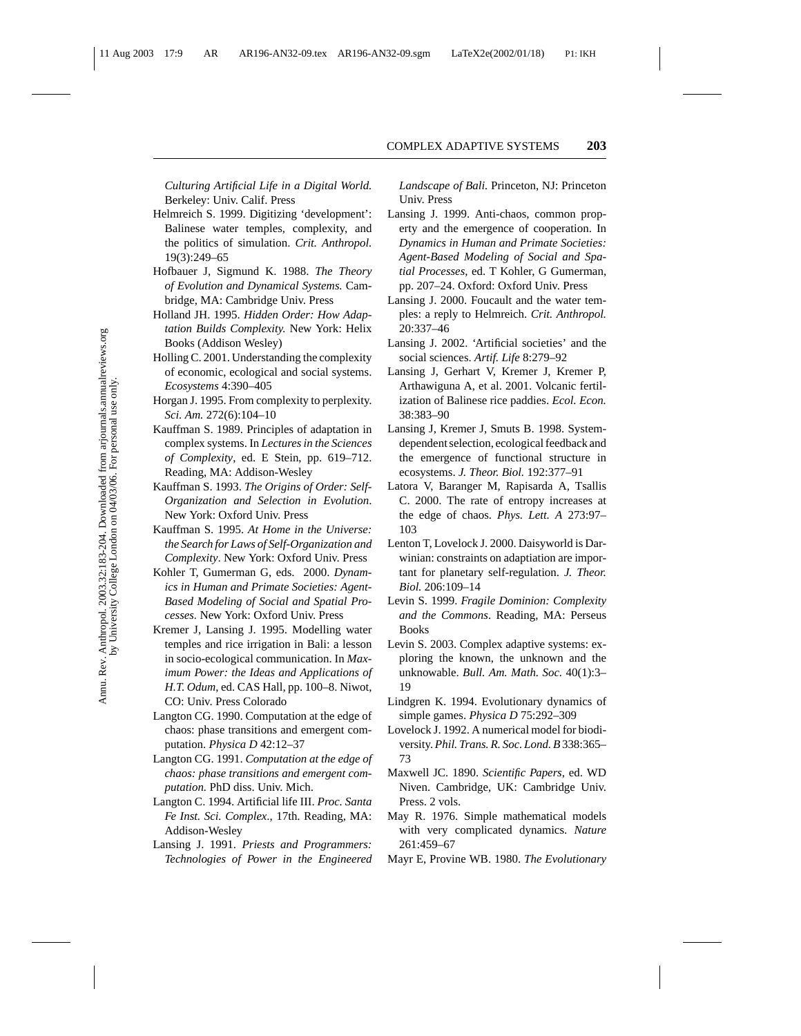*Culturing Artificial Life in a Digital World.* Berkeley: Univ. Calif. Press

- Helmreich S. 1999. Digitizing 'development': Balinese water temples, complexity, and the politics of simulation. *Crit. Anthropol.* 19(3):249–65
- Hofbauer J, Sigmund K. 1988. *The Theory of Evolution and Dynamical Systems.* Cambridge, MA: Cambridge Univ. Press
- Holland JH. 1995. *Hidden Order: How Adaptation Builds Complexity.* New York: Helix Books (Addison Wesley)
- Holling C. 2001. Understanding the complexity of economic, ecological and social systems. *Ecosystems* 4:390–405
- Horgan J. 1995. From complexity to perplexity. *Sci. Am.* 272(6):104–10
- Kauffman S. 1989. Principles of adaptation in complex systems. In *Lectures in the Sciences of Complexity*, ed. E Stein, pp. 619–712. Reading, MA: Addison-Wesley
- Kauffman S. 1993. *The Origins of Order: Self-Organization and Selection in Evolution*. New York: Oxford Univ. Press
- Kauffman S. 1995. *At Home in the Universe: the Search for Laws of Self-Organization and Complexity*. New York: Oxford Univ. Press
- Kohler T, Gumerman G, eds. 2000. *Dynamics in Human and Primate Societies: Agent-Based Modeling of Social and Spatial Processes.* New York: Oxford Univ. Press
- Kremer J, Lansing J. 1995. Modelling water temples and rice irrigation in Bali: a lesson in socio-ecological communication. In *Maximum Power: the Ideas and Applications of H.T. Odum*, ed. CAS Hall, pp. 100–8. Niwot, CO: Univ. Press Colorado
- Langton CG. 1990. Computation at the edge of chaos: phase transitions and emergent computation. *Physica D* 42:12–37
- Langton CG. 1991. *Computation at the edge of chaos: phase transitions and emergent computation.* PhD diss. Univ. Mich.
- Langton C. 1994. Artificial life III. *Proc. Santa Fe Inst. Sci. Complex*., 17th. Reading, MA: Addison-Wesley
- Lansing J. 1991. *Priests and Programmers: Technologies of Power in the Engineered*

*Landscape of Bali.* Princeton, NJ: Princeton Univ. Press

- Lansing J. 1999. Anti-chaos, common property and the emergence of cooperation. In *Dynamics in Human and Primate Societies: Agent-Based Modeling of Social and Spatial Processes*, ed. T Kohler, G Gumerman, pp. 207–24. Oxford: Oxford Univ. Press
- Lansing J. 2000. Foucault and the water temples: a reply to Helmreich. *Crit. Anthropol.* 20:337–46
- Lansing J. 2002. 'Artificial societies' and the social sciences. *Artif. Life* 8:279–92
- Lansing J, Gerhart V, Kremer J, Kremer P, Arthawiguna A, et al. 2001. Volcanic fertilization of Balinese rice paddies. *Ecol. Econ.* 38:383–90
- Lansing J, Kremer J, Smuts B. 1998. Systemdependent selection, ecological feedback and the emergence of functional structure in ecosystems. *J. Theor. Biol.* 192:377–91
- Latora V, Baranger M, Rapisarda A, Tsallis C. 2000. The rate of entropy increases at the edge of chaos. *Phys. Lett. A* 273:97– 103
- Lenton T, Lovelock J. 2000. Daisyworld is Darwinian: constraints on adaptiation are important for planetary self-regulation. *J. Theor. Biol.* 206:109–14
- Levin S. 1999. *Fragile Dominion: Complexity and the Commons*. Reading, MA: Perseus Books
- Levin S. 2003. Complex adaptive systems: exploring the known, the unknown and the unknowable. *Bull. Am. Math. Soc.* 40(1):3– 19
- Lindgren K. 1994. Evolutionary dynamics of simple games. *Physica D* 75:292–309
- Lovelock J. 1992. A numerical model for biodiversity. *Phil. Trans. R. Soc. Lond. B* 338:365– 73
- Maxwell JC. 1890. *Scientific Papers*, ed. WD Niven. Cambridge, UK: Cambridge Univ. Press. 2 vols.
- May R. 1976. Simple mathematical models with very complicated dynamics. *Nature* 261:459–67
- Mayr E, Provine WB. 1980. *The Evolutionary*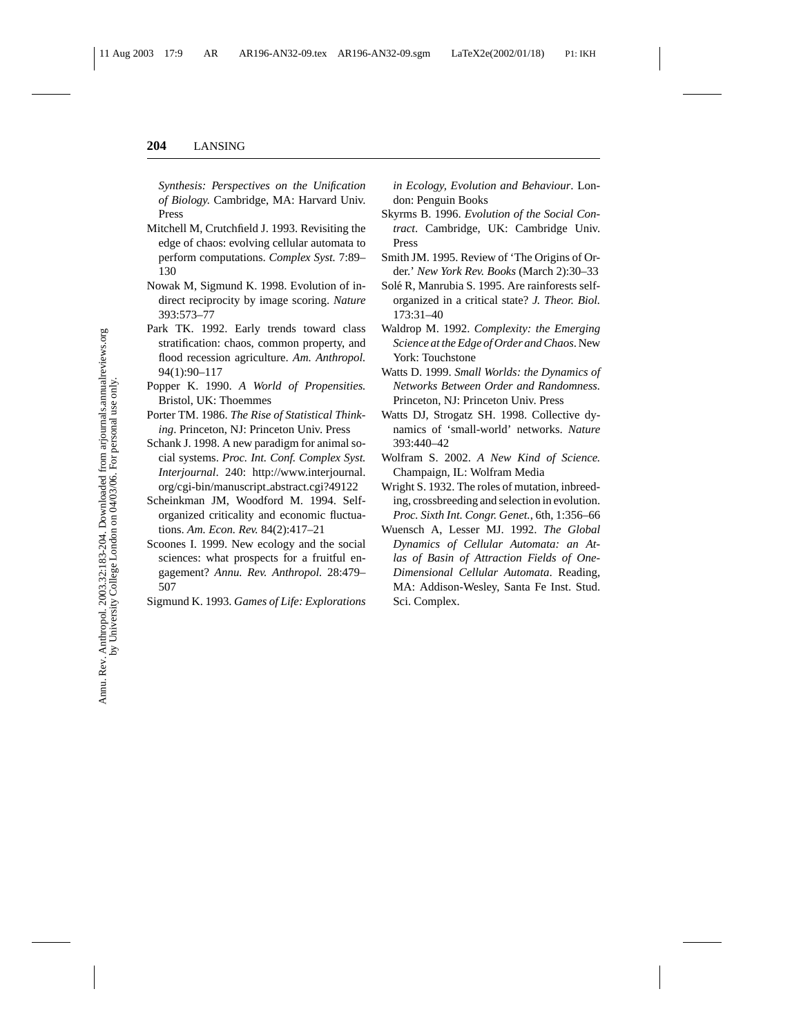*Synthesis: Perspectives on the Unification of Biology.* Cambridge, MA: Harvard Univ. Press

- Mitchell M, Crutchfield J. 1993. Revisiting the edge of chaos: evolving cellular automata to perform computations. *Complex Syst.* 7:89– 130
- Nowak M, Sigmund K. 1998. Evolution of indirect reciprocity by image scoring. *Nature* 393:573–77
- Park TK. 1992. Early trends toward class stratification: chaos, common property, and flood recession agriculture. *Am. Anthropol.* 94(1):90–117
- Popper K. 1990. *A World of Propensities.* Bristol, UK: Thoemmes
- Porter TM. 1986. *The Rise of Statistical Thinking*. Princeton, NJ: Princeton Univ. Press
- Schank J. 1998. A new paradigm for animal social systems. *Proc. Int. Conf. Complex Syst. Interjournal*. 240: http://www.interjournal. org/cgi-bin/manuscript abstract.cgi?49122
- Scheinkman JM, Woodford M. 1994. Selforganized criticality and economic fluctuations. *Am. Econ. Rev.* 84(2):417–21
- Scoones I. 1999. New ecology and the social sciences: what prospects for a fruitful engagement? *Annu. Rev. Anthropol.* 28:479– 507

Sigmund K. 1993. *Games of Life: Explorations*

*in Ecology, Evolution and Behaviour*. London: Penguin Books

- Skyrms B. 1996. *Evolution of the Social Contract*. Cambridge, UK: Cambridge Univ. Press
- Smith JM. 1995. Review of 'The Origins of Order.' *New York Rev. Books* (March 2):30–33
- Solé R, Manrubia S. 1995. Are rainforests selforganized in a critical state? *J. Theor. Biol.* 173:31–40
- Waldrop M. 1992. *Complexity: the Emerging Science at the Edge of Order and Chaos*. New York: Touchstone
- Watts D. 1999. *Small Worlds: the Dynamics of Networks Between Order and Randomness.* Princeton, NJ: Princeton Univ. Press
- Watts DJ, Strogatz SH. 1998. Collective dynamics of 'small-world' networks. *Nature* 393:440–42
- Wolfram S. 2002. *A New Kind of Science.* Champaign, IL: Wolfram Media
- Wright S. 1932. The roles of mutation, inbreeding, crossbreeding and selection in evolution. *Proc. Sixth Int. Congr. Genet.*, 6th, 1:356–66
- Wuensch A, Lesser MJ. 1992. *The Global Dynamics of Cellular Automata: an Atlas of Basin of Attraction Fields of One-Dimensional Cellular Automata*. Reading, MA: Addison-Wesley, Santa Fe Inst. Stud. Sci. Complex.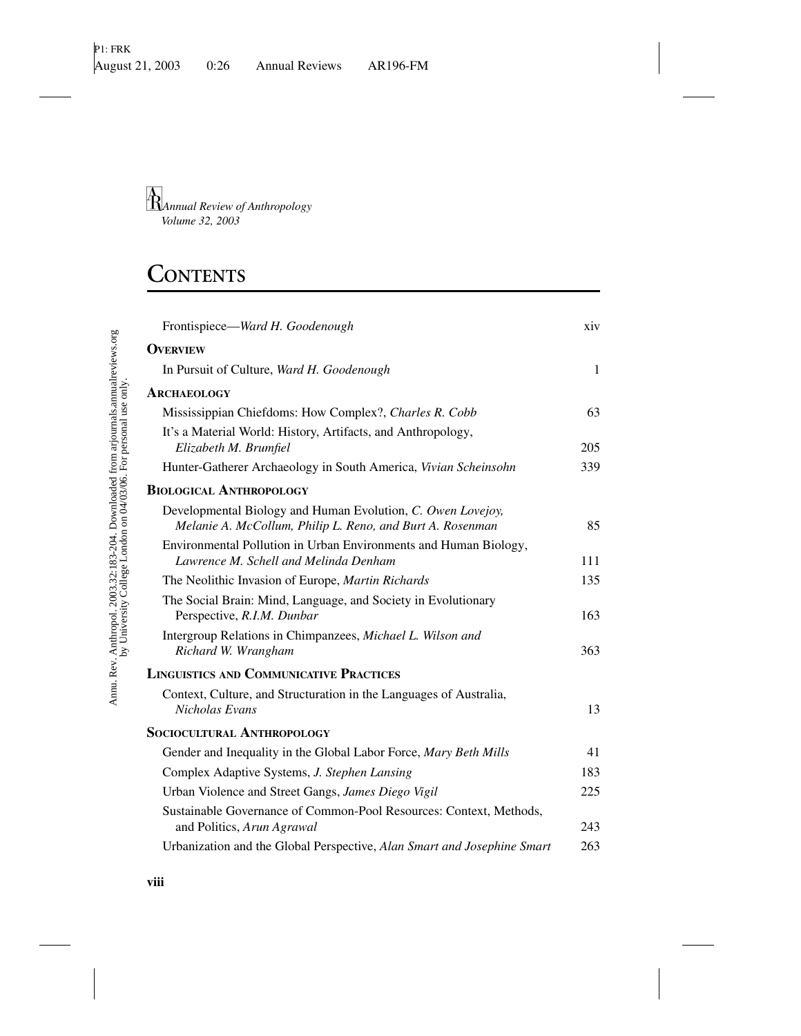# **CONTENTS**

| Frontispiece-Ward H. Goodenough                                                                                          |              |
|--------------------------------------------------------------------------------------------------------------------------|--------------|
| <b>OVERVIEW</b>                                                                                                          |              |
| In Pursuit of Culture, Ward H. Goodenough                                                                                | $\mathbf{1}$ |
| ARCHAEOLOGY                                                                                                              |              |
| Mississippian Chiefdoms: How Complex?, Charles R. Cobb                                                                   | 63           |
| It's a Material World: History, Artifacts, and Anthropology,<br>Elizabeth M. Brumfiel                                    | 205          |
| Hunter-Gatherer Archaeology in South America, Vivian Scheinsohn                                                          | 339          |
| <b>BIOLOGICAL ANTHROPOLOGY</b>                                                                                           |              |
| Developmental Biology and Human Evolution, C. Owen Lovejoy,<br>Melanie A. McCollum, Philip L. Reno, and Burt A. Rosenman | 85           |
| Environmental Pollution in Urban Environments and Human Biology,<br>Lawrence M. Schell and Melinda Denham                | 111          |
| The Neolithic Invasion of Europe, Martin Richards                                                                        | 135          |
| The Social Brain: Mind, Language, and Society in Evolutionary<br>Perspective, R.I.M. Dunbar                              | 163          |
| Intergroup Relations in Chimpanzees, Michael L. Wilson and<br>Richard W. Wrangham                                        | 363          |
| <b>LINGUISTICS AND COMMUNICATIVE PRACTICES</b>                                                                           |              |
| Context, Culture, and Structuration in the Languages of Australia,<br>Nicholas Evans                                     | 13           |
| SOCIOCULTURAL ANTHROPOLOGY                                                                                               |              |
| Gender and Inequality in the Global Labor Force, Mary Beth Mills                                                         | 41           |
| Complex Adaptive Systems, J. Stephen Lansing                                                                             | 183          |
| Urban Violence and Street Gangs, James Diego Vigil                                                                       | 225          |
| Sustainable Governance of Common-Pool Resources: Context, Methods,<br>and Politics, Arun Agrawal                         | 243          |
| Urbanization and the Global Perspective, Alan Smart and Josephine Smart                                                  | 263          |
|                                                                                                                          |              |